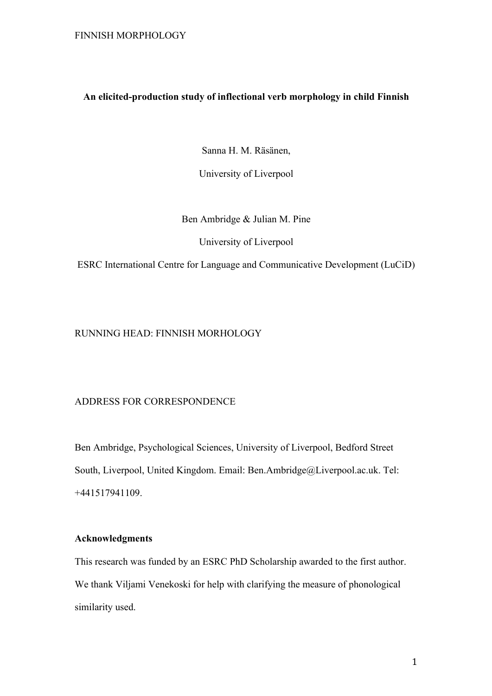# **An elicited-production study of inflectional verb morphology in child Finnish**

Sanna H. M. Räsänen,

University of Liverpool

Ben Ambridge & Julian M. Pine

University of Liverpool

ESRC International Centre for Language and Communicative Development (LuCiD)

# RUNNING HEAD: FINNISH MORHOLOGY

# ADDRESS FOR CORRESPONDENCE

Ben Ambridge, Psychological Sciences, University of Liverpool, Bedford Street South, Liverpool, United Kingdom. Email: Ben.Ambridge@Liverpool.ac.uk. Tel: +441517941109.

# **Acknowledgments**

This research was funded by an ESRC PhD Scholarship awarded to the first author. We thank Viljami Venekoski for help with clarifying the measure of phonological similarity used.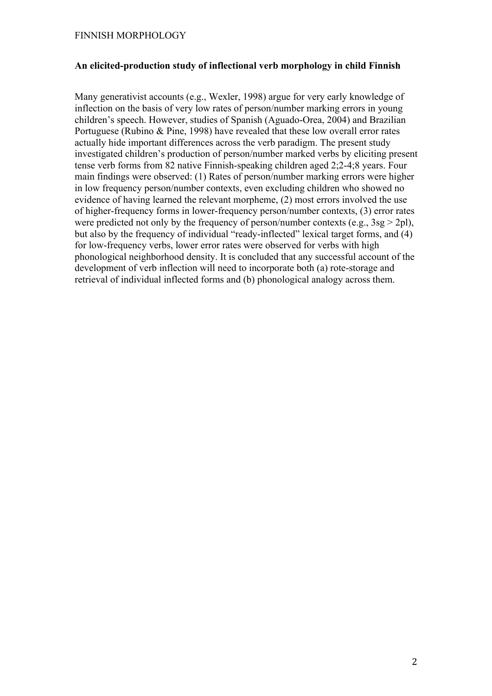# **An elicited-production study of inflectional verb morphology in child Finnish**

Many generativist accounts (e.g., Wexler, 1998) argue for very early knowledge of inflection on the basis of very low rates of person/number marking errors in young children's speech. However, studies of Spanish (Aguado-Orea, 2004) and Brazilian Portuguese (Rubino & Pine, 1998) have revealed that these low overall error rates actually hide important differences across the verb paradigm. The present study investigated children's production of person/number marked verbs by eliciting present tense verb forms from 82 native Finnish-speaking children aged 2;2-4;8 years. Four main findings were observed: (1) Rates of person/number marking errors were higher in low frequency person/number contexts, even excluding children who showed no evidence of having learned the relevant morpheme, (2) most errors involved the use of higher-frequency forms in lower-frequency person/number contexts, (3) error rates were predicted not only by the frequency of person/number contexts (e.g.,  $3sg > 2pl$ ), but also by the frequency of individual "ready-inflected" lexical target forms, and (4) for low-frequency verbs, lower error rates were observed for verbs with high phonological neighborhood density. It is concluded that any successful account of the development of verb inflection will need to incorporate both (a) rote-storage and retrieval of individual inflected forms and (b) phonological analogy across them.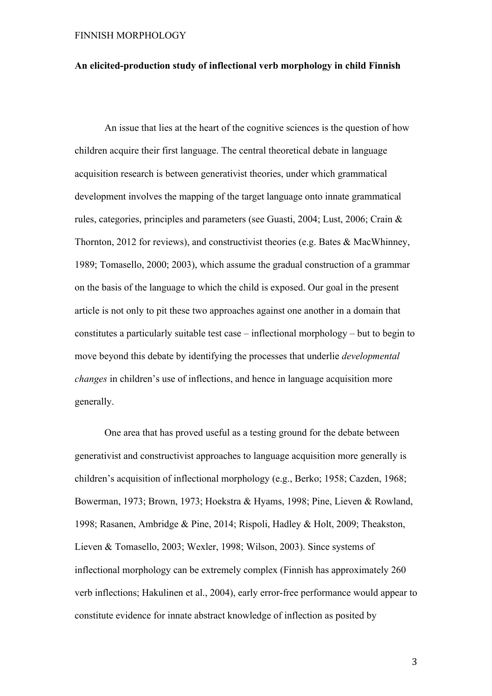# **An elicited-production study of inflectional verb morphology in child Finnish**

An issue that lies at the heart of the cognitive sciences is the question of how children acquire their first language. The central theoretical debate in language acquisition research is between generativist theories, under which grammatical development involves the mapping of the target language onto innate grammatical rules, categories, principles and parameters (see Guasti, 2004; Lust, 2006; Crain & Thornton, 2012 for reviews), and constructivist theories (e.g. Bates & MacWhinney, 1989; Tomasello, 2000; 2003), which assume the gradual construction of a grammar on the basis of the language to which the child is exposed. Our goal in the present article is not only to pit these two approaches against one another in a domain that constitutes a particularly suitable test case – inflectional morphology – but to begin to move beyond this debate by identifying the processes that underlie *developmental changes* in children's use of inflections, and hence in language acquisition more generally.

One area that has proved useful as a testing ground for the debate between generativist and constructivist approaches to language acquisition more generally is children's acquisition of inflectional morphology (e.g., Berko; 1958; Cazden, 1968; Bowerman, 1973; Brown, 1973; Hoekstra & Hyams, 1998; Pine, Lieven & Rowland, 1998; Rasanen, Ambridge & Pine, 2014; Rispoli, Hadley & Holt, 2009; Theakston, Lieven & Tomasello, 2003; Wexler, 1998; Wilson, 2003). Since systems of inflectional morphology can be extremely complex (Finnish has approximately 260 verb inflections; Hakulinen et al., 2004), early error-free performance would appear to constitute evidence for innate abstract knowledge of inflection as posited by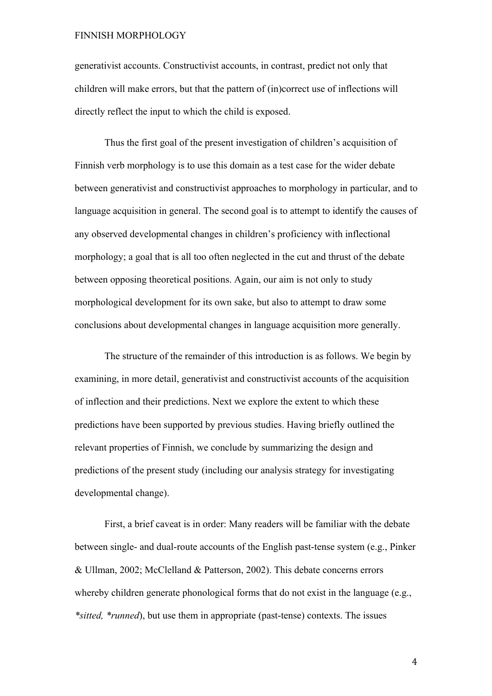generativist accounts. Constructivist accounts, in contrast, predict not only that children will make errors, but that the pattern of (in)correct use of inflections will directly reflect the input to which the child is exposed.

Thus the first goal of the present investigation of children's acquisition of Finnish verb morphology is to use this domain as a test case for the wider debate between generativist and constructivist approaches to morphology in particular, and to language acquisition in general. The second goal is to attempt to identify the causes of any observed developmental changes in children's proficiency with inflectional morphology; a goal that is all too often neglected in the cut and thrust of the debate between opposing theoretical positions. Again, our aim is not only to study morphological development for its own sake, but also to attempt to draw some conclusions about developmental changes in language acquisition more generally.

The structure of the remainder of this introduction is as follows. We begin by examining, in more detail, generativist and constructivist accounts of the acquisition of inflection and their predictions. Next we explore the extent to which these predictions have been supported by previous studies. Having briefly outlined the relevant properties of Finnish, we conclude by summarizing the design and predictions of the present study (including our analysis strategy for investigating developmental change).

First, a brief caveat is in order: Many readers will be familiar with the debate between single- and dual-route accounts of the English past-tense system (e.g., Pinker & Ullman, 2002; McClelland & Patterson, 2002). This debate concerns errors whereby children generate phonological forms that do not exist in the language (e.g., *\*sitted, \*runned*), but use them in appropriate (past-tense) contexts. The issues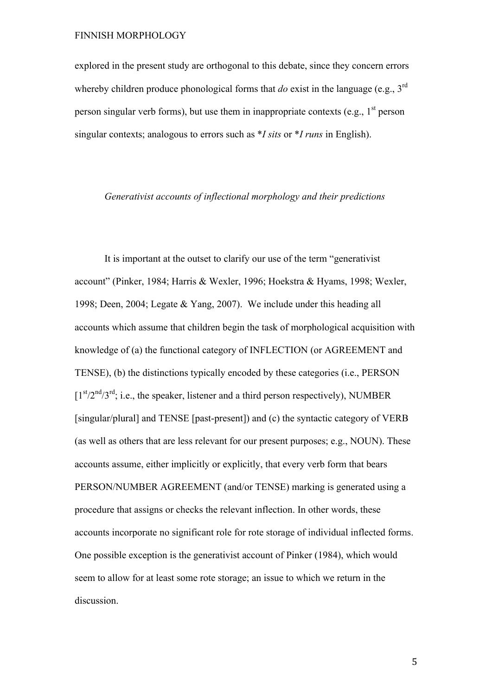explored in the present study are orthogonal to this debate, since they concern errors whereby children produce phonological forms that *do* exist in the language (e.g., 3<sup>rd</sup>) person singular verb forms), but use them in inappropriate contexts (e.g.,  $1<sup>st</sup>$  person singular contexts; analogous to errors such as \**I sits* or \**I runs* in English).

# *Generativist accounts of inflectional morphology and their predictions*

It is important at the outset to clarify our use of the term "generativist account" (Pinker, 1984; Harris & Wexler, 1996; Hoekstra & Hyams, 1998; Wexler, 1998; Deen, 2004; Legate & Yang, 2007). We include under this heading all accounts which assume that children begin the task of morphological acquisition with knowledge of (a) the functional category of INFLECTION (or AGREEMENT and TENSE), (b) the distinctions typically encoded by these categories (i.e., PERSON  $[1<sup>st</sup>/2<sup>nd</sup>/3<sup>rd</sup>;$  i.e., the speaker, listener and a third person respectively), NUMBER [singular/plural] and TENSE [past-present]) and (c) the syntactic category of VERB (as well as others that are less relevant for our present purposes; e.g., NOUN). These accounts assume, either implicitly or explicitly, that every verb form that bears PERSON/NUMBER AGREEMENT (and/or TENSE) marking is generated using a procedure that assigns or checks the relevant inflection. In other words, these accounts incorporate no significant role for rote storage of individual inflected forms. One possible exception is the generativist account of Pinker (1984), which would seem to allow for at least some rote storage; an issue to which we return in the discussion.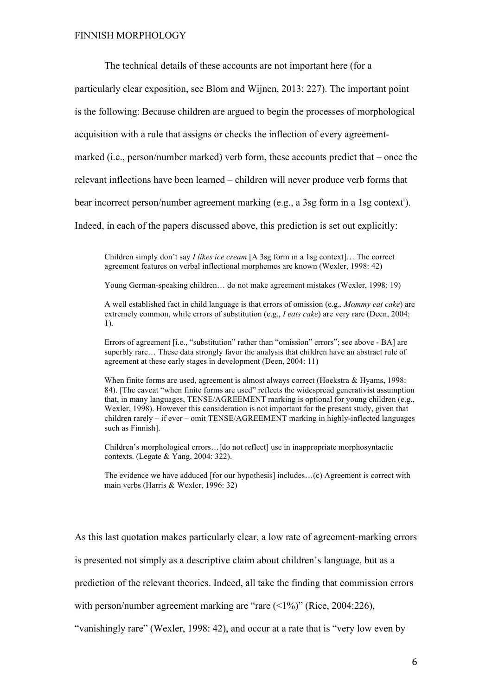The technical details of these accounts are not important here (for a

particularly clear exposition, see Blom and Wijnen, 2013: 227). The important point

is the following: Because children are argued to begin the processes of morphological

acquisition with a rule that assigns or checks the inflection of every agreement-

marked (i.e., person/number marked) verb form, these accounts predict that – once the

relevant inflections have been learned – children will never produce verb forms that

bear incorrect person/number agreement marking (e.g., a 3sg form in a 1sg context<sup>i</sup>).

Indeed, in each of the papers discussed above, this prediction is set out explicitly:

Children simply don't say *I likes ice cream* [A 3sg form in a 1sg context]… The correct agreement features on verbal inflectional morphemes are known (Wexler, 1998: 42)

Young German-speaking children… do not make agreement mistakes (Wexler, 1998: 19)

A well established fact in child language is that errors of omission (e.g., *Mommy eat cake*) are extremely common, while errors of substitution (e.g., *I eats cake*) are very rare (Deen, 2004: 1).

Errors of agreement [i.e., "substitution" rather than "omission" errors"; see above - BA] are superbly rare… These data strongly favor the analysis that children have an abstract rule of agreement at these early stages in development (Deen, 2004: 11)

When finite forms are used, agreement is almost always correct (Hoekstra & Hyams, 1998: 84). [The caveat "when finite forms are used" reflects the widespread generativist assumption that, in many languages, TENSE/AGREEMENT marking is optional for young children (e.g., Wexler, 1998). However this consideration is not important for the present study, given that children rarely – if ever – omit TENSE/AGREEMENT marking in highly-inflected languages such as Finnish].

Children's morphological errors…[do not reflect] use in inappropriate morphosyntactic contexts. (Legate & Yang, 2004: 322).

The evidence we have adduced [for our hypothesis] includes…(c) Agreement is correct with main verbs (Harris & Wexler, 1996: 32)

As this last quotation makes particularly clear, a low rate of agreement-marking errors

is presented not simply as a descriptive claim about children's language, but as a

prediction of the relevant theories. Indeed, all take the finding that commission errors

with person/number agreement marking are "rare  $(\leq 1\%)$ " (Rice, 2004:226),

"vanishingly rare" (Wexler, 1998: 42), and occur at a rate that is "very low even by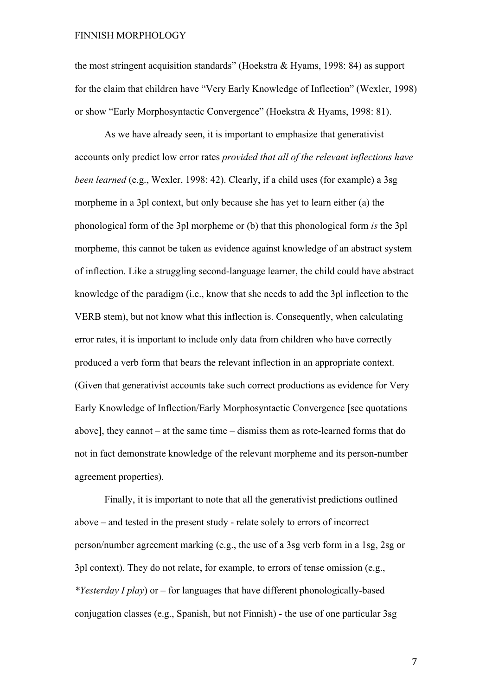the most stringent acquisition standards" (Hoekstra & Hyams, 1998: 84) as support for the claim that children have "Very Early Knowledge of Inflection" (Wexler, 1998) or show "Early Morphosyntactic Convergence" (Hoekstra & Hyams, 1998: 81).

As we have already seen, it is important to emphasize that generativist accounts only predict low error rates *provided that all of the relevant inflections have been learned* (e.g., Wexler, 1998: 42). Clearly, if a child uses (for example) a 3sg morpheme in a 3pl context, but only because she has yet to learn either (a) the phonological form of the 3pl morpheme or (b) that this phonological form *is* the 3pl morpheme, this cannot be taken as evidence against knowledge of an abstract system of inflection. Like a struggling second-language learner, the child could have abstract knowledge of the paradigm (i.e., know that she needs to add the 3pl inflection to the VERB stem), but not know what this inflection is. Consequently, when calculating error rates, it is important to include only data from children who have correctly produced a verb form that bears the relevant inflection in an appropriate context. (Given that generativist accounts take such correct productions as evidence for Very Early Knowledge of Inflection/Early Morphosyntactic Convergence [see quotations above], they cannot – at the same time – dismiss them as rote-learned forms that do not in fact demonstrate knowledge of the relevant morpheme and its person-number agreement properties).

Finally, it is important to note that all the generativist predictions outlined above – and tested in the present study - relate solely to errors of incorrect person/number agreement marking (e.g., the use of a 3sg verb form in a 1sg, 2sg or 3pl context). They do not relate, for example, to errors of tense omission (e.g., *\*Yesterday I play*) or – for languages that have different phonologically-based conjugation classes (e.g., Spanish, but not Finnish) - the use of one particular 3sg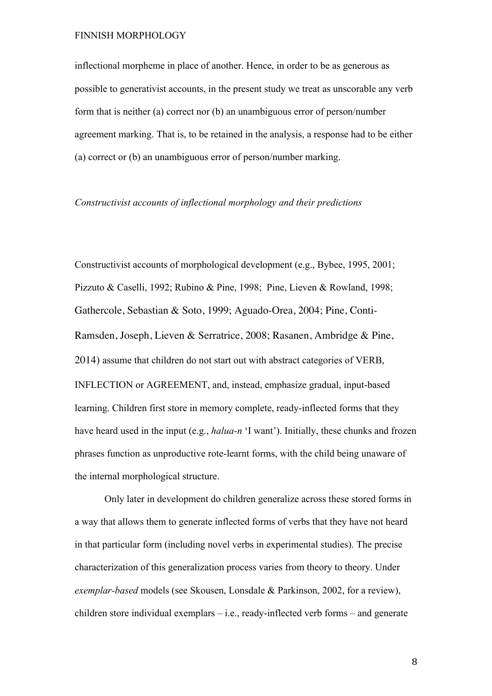inflectional morpheme in place of another. Hence, in order to be as generous as possible to generativist accounts, in the present study we treat as unscorable any verb form that is neither (a) correct nor (b) an unambiguous error of person/number agreement marking. That is, to be retained in the analysis, a response had to be either (a) correct or (b) an unambiguous error of person/number marking.

#### *Constructivist accounts of inflectional morphology and their predictions*

Constructivist accounts of morphological development (e.g., Bybee, 1995, 2001; Pizzuto & Caselli, 1992; Rubino & Pine, 1998; Pine, Lieven & Rowland, 1998; Gathercole, Sebastian & Soto, 1999; Aguado-Orea, 2004; Pine, Conti-Ramsden, Joseph, Lieven & Serratrice, 2008; Rasanen, Ambridge & Pine, 2014) assume that children do not start out with abstract categories of VERB, INFLECTION or AGREEMENT, and, instead, emphasize gradual, input-based learning. Children first store in memory complete, ready-inflected forms that they have heard used in the input (e.g., *halua-n* 'I want'). Initially, these chunks and frozen phrases function as unproductive rote-learnt forms, with the child being unaware of the internal morphological structure.

Only later in development do children generalize across these stored forms in a way that allows them to generate inflected forms of verbs that they have not heard in that particular form (including novel verbs in experimental studies). The precise characterization of this generalization process varies from theory to theory. Under *exemplar-based* models (see Skousen, Lonsdale & Parkinson, 2002, for a review), children store individual exemplars – i.e., ready-inflected verb forms – and generate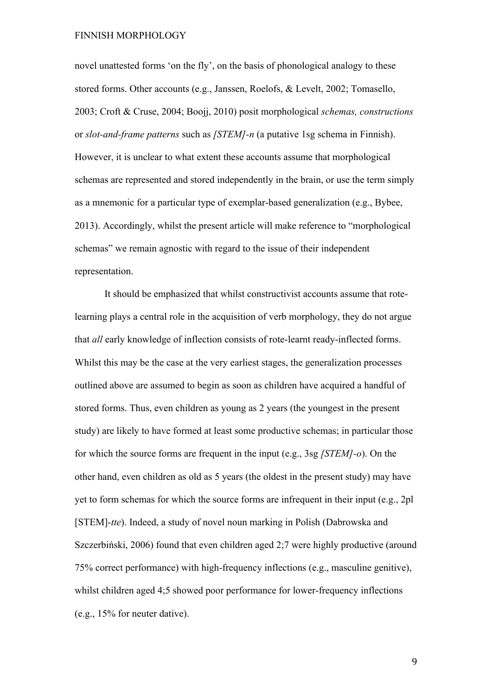novel unattested forms 'on the fly', on the basis of phonological analogy to these stored forms. Other accounts (e.g., Janssen, Roelofs, & Levelt, 2002; Tomasello, 2003; Croft & Cruse, 2004; Boojj, 2010) posit morphological *schemas, constructions* or *slot-and-frame patterns* such as *[STEM]-n* (a putative 1sg schema in Finnish). However, it is unclear to what extent these accounts assume that morphological schemas are represented and stored independently in the brain, or use the term simply as a mnemonic for a particular type of exemplar-based generalization (e.g., Bybee, 2013). Accordingly, whilst the present article will make reference to "morphological schemas" we remain agnostic with regard to the issue of their independent representation.

It should be emphasized that whilst constructivist accounts assume that rotelearning plays a central role in the acquisition of verb morphology, they do not argue that *all* early knowledge of inflection consists of rote-learnt ready-inflected forms. Whilst this may be the case at the very earliest stages, the generalization processes outlined above are assumed to begin as soon as children have acquired a handful of stored forms. Thus, even children as young as 2 years (the youngest in the present study) are likely to have formed at least some productive schemas; in particular those for which the source forms are frequent in the input (e.g., 3sg *[STEM]-o*). On the other hand, even children as old as 5 years (the oldest in the present study) may have yet to form schemas for which the source forms are infrequent in their input (e.g., 2pl [STEM]-*tte*). Indeed, a study of novel noun marking in Polish (Dabrowska and Szczerbiński, 2006) found that even children aged 2;7 were highly productive (around 75% correct performance) with high-frequency inflections (e.g., masculine genitive), whilst children aged 4;5 showed poor performance for lower-frequency inflections (e.g., 15% for neuter dative).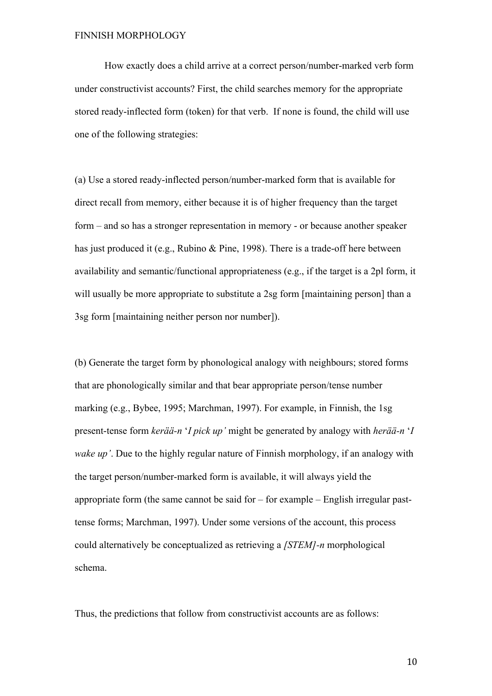How exactly does a child arrive at a correct person/number-marked verb form under constructivist accounts? First, the child searches memory for the appropriate stored ready-inflected form (token) for that verb. If none is found, the child will use one of the following strategies:

(a) Use a stored ready-inflected person/number-marked form that is available for direct recall from memory, either because it is of higher frequency than the target form – and so has a stronger representation in memory - or because another speaker has just produced it (e.g., Rubino & Pine, 1998). There is a trade-off here between availability and semantic/functional appropriateness (e.g., if the target is a 2pl form, it will usually be more appropriate to substitute a 2sg form [maintaining person] than a 3sg form [maintaining neither person nor number]).

(b) Generate the target form by phonological analogy with neighbours; stored forms that are phonologically similar and that bear appropriate person/tense number marking (e.g., Bybee, 1995; Marchman, 1997). For example, in Finnish, the 1sg present-tense form *kerää-n* '*I pick up'* might be generated by analogy with *herää-n* '*I wake up'*. Due to the highly regular nature of Finnish morphology, if an analogy with the target person/number-marked form is available, it will always yield the appropriate form (the same cannot be said for – for example – English irregular pasttense forms; Marchman, 1997). Under some versions of the account, this process could alternatively be conceptualized as retrieving a *[STEM]-n* morphological schema.

Thus, the predictions that follow from constructivist accounts are as follows: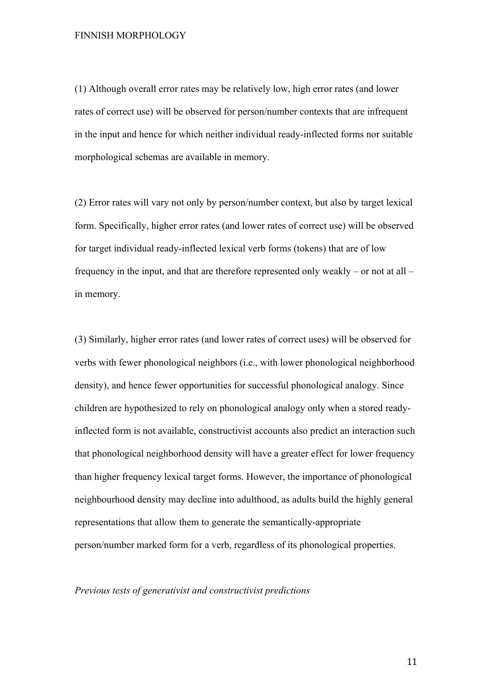(1) Although overall error rates may be relatively low, high error rates (and lower rates of correct use) will be observed for person/number contexts that are infrequent in the input and hence for which neither individual ready-inflected forms nor suitable morphological schemas are available in memory.

(2) Error rates will vary not only by person/number context, but also by target lexical form. Specifically, higher error rates (and lower rates of correct use) will be observed for target individual ready-inflected lexical verb forms (tokens) that are of low frequency in the input, and that are therefore represented only weakly – or not at all – in memory.

(3) Similarly, higher error rates (and lower rates of correct uses) will be observed for verbs with fewer phonological neighbors (i.e., with lower phonological neighborhood density), and hence fewer opportunities for successful phonological analogy. Since children are hypothesized to rely on phonological analogy only when a stored readyinflected form is not available, constructivist accounts also predict an interaction such that phonological neighborhood density will have a greater effect for lower frequency than higher frequency lexical target forms. However, the importance of phonological neighbourhood density may decline into adulthood, as adults build the highly general representations that allow them to generate the semantically-appropriate person/number marked form for a verb, regardless of its phonological properties.

#### *Previous tests of generativist and constructivist predictions*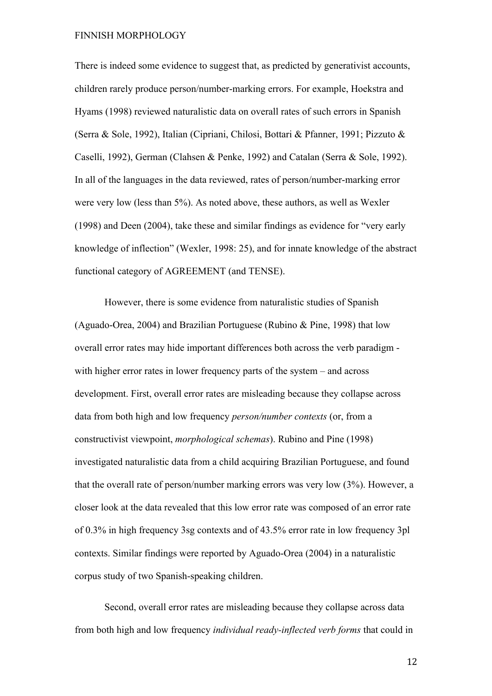There is indeed some evidence to suggest that, as predicted by generativist accounts, children rarely produce person/number-marking errors. For example, Hoekstra and Hyams (1998) reviewed naturalistic data on overall rates of such errors in Spanish (Serra & Sole, 1992), Italian (Cipriani, Chilosi, Bottari & Pfanner, 1991; Pizzuto & Caselli, 1992), German (Clahsen & Penke, 1992) and Catalan (Serra & Sole, 1992). In all of the languages in the data reviewed, rates of person/number-marking error were very low (less than 5%). As noted above, these authors, as well as Wexler (1998) and Deen (2004), take these and similar findings as evidence for "very early knowledge of inflection" (Wexler, 1998: 25), and for innate knowledge of the abstract functional category of AGREEMENT (and TENSE).

However, there is some evidence from naturalistic studies of Spanish (Aguado-Orea, 2004) and Brazilian Portuguese (Rubino & Pine, 1998) that low overall error rates may hide important differences both across the verb paradigm with higher error rates in lower frequency parts of the system – and across development. First, overall error rates are misleading because they collapse across data from both high and low frequency *person/number contexts* (or, from a constructivist viewpoint, *morphological schemas*). Rubino and Pine (1998) investigated naturalistic data from a child acquiring Brazilian Portuguese, and found that the overall rate of person/number marking errors was very low (3%). However, a closer look at the data revealed that this low error rate was composed of an error rate of 0.3% in high frequency 3sg contexts and of 43.5% error rate in low frequency 3pl contexts. Similar findings were reported by Aguado-Orea (2004) in a naturalistic corpus study of two Spanish-speaking children.

Second, overall error rates are misleading because they collapse across data from both high and low frequency *individual ready-inflected verb forms* that could in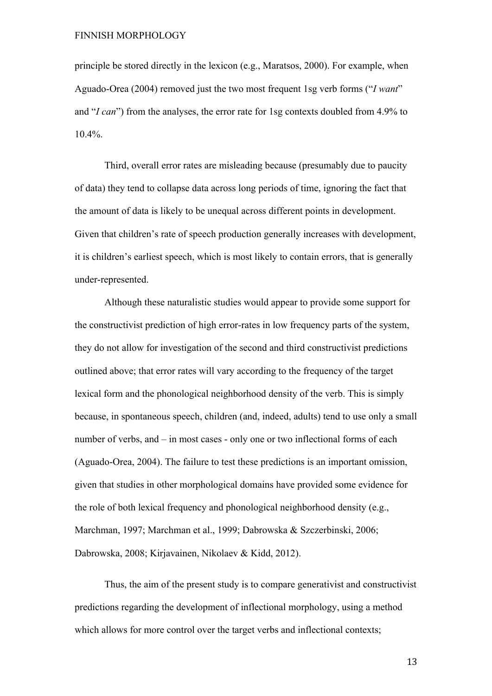principle be stored directly in the lexicon (e.g., Maratsos, 2000). For example, when Aguado-Orea (2004) removed just the two most frequent 1sg verb forms ("*I want*" and "*I can*") from the analyses, the error rate for 1sg contexts doubled from 4.9% to 10.4%.

Third, overall error rates are misleading because (presumably due to paucity of data) they tend to collapse data across long periods of time, ignoring the fact that the amount of data is likely to be unequal across different points in development. Given that children's rate of speech production generally increases with development, it is children's earliest speech, which is most likely to contain errors, that is generally under-represented.

Although these naturalistic studies would appear to provide some support for the constructivist prediction of high error-rates in low frequency parts of the system, they do not allow for investigation of the second and third constructivist predictions outlined above; that error rates will vary according to the frequency of the target lexical form and the phonological neighborhood density of the verb. This is simply because, in spontaneous speech, children (and, indeed, adults) tend to use only a small number of verbs, and – in most cases - only one or two inflectional forms of each (Aguado-Orea, 2004). The failure to test these predictions is an important omission, given that studies in other morphological domains have provided some evidence for the role of both lexical frequency and phonological neighborhood density (e.g., Marchman, 1997; Marchman et al., 1999; Dabrowska & Szczerbinski, 2006; Dabrowska, 2008; Kirjavainen, Nikolaev & Kidd, 2012).

Thus, the aim of the present study is to compare generativist and constructivist predictions regarding the development of inflectional morphology, using a method which allows for more control over the target verbs and inflectional contexts;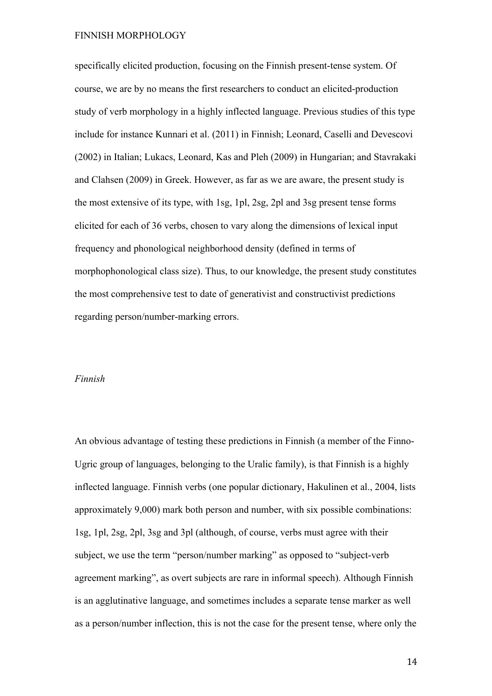specifically elicited production, focusing on the Finnish present-tense system. Of course, we are by no means the first researchers to conduct an elicited-production study of verb morphology in a highly inflected language. Previous studies of this type include for instance Kunnari et al. (2011) in Finnish; Leonard, Caselli and Devescovi (2002) in Italian; Lukacs, Leonard, Kas and Pleh (2009) in Hungarian; and Stavrakaki and Clahsen (2009) in Greek. However, as far as we are aware, the present study is the most extensive of its type, with 1sg, 1pl, 2sg, 2pl and 3sg present tense forms elicited for each of 36 verbs, chosen to vary along the dimensions of lexical input frequency and phonological neighborhood density (defined in terms of morphophonological class size). Thus, to our knowledge, the present study constitutes the most comprehensive test to date of generativist and constructivist predictions regarding person/number-marking errors.

#### *Finnish*

An obvious advantage of testing these predictions in Finnish (a member of the Finno-Ugric group of languages, belonging to the Uralic family), is that Finnish is a highly inflected language. Finnish verbs (one popular dictionary, Hakulinen et al., 2004, lists approximately 9,000) mark both person and number, with six possible combinations: 1sg, 1pl, 2sg, 2pl, 3sg and 3pl (although, of course, verbs must agree with their subject, we use the term "person/number marking" as opposed to "subject-verb agreement marking", as overt subjects are rare in informal speech). Although Finnish is an agglutinative language, and sometimes includes a separate tense marker as well as a person/number inflection, this is not the case for the present tense, where only the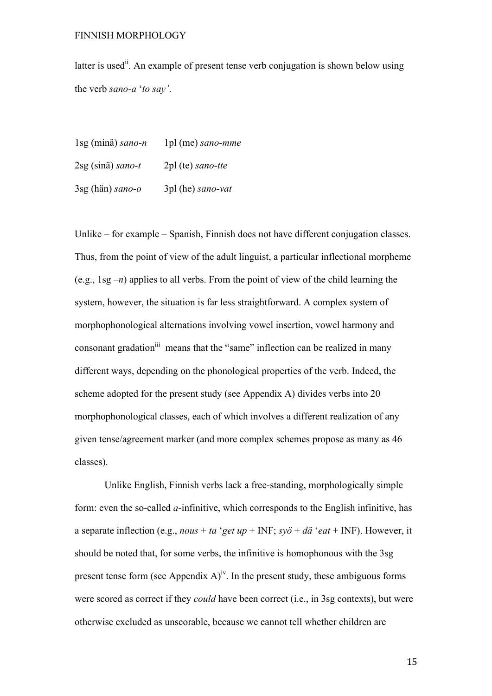latter is used<sup>ii</sup>. An example of present tense verb conjugation is shown below using the verb *sano-a* '*to say'*.

1sg (minä) *sano-n* 1pl (me) *sano-mme* 2sg (sinä) *sano-t* 2pl (te) *sano-tte* 3sg (hän) *sano-o* 3pl (he) *sano-vat*

Unlike – for example – Spanish, Finnish does not have different conjugation classes. Thus, from the point of view of the adult linguist, a particular inflectional morpheme (e.g., 1sg *–n*) applies to all verbs. From the point of view of the child learning the system, however, the situation is far less straightforward. A complex system of morphophonological alternations involving vowel insertion, vowel harmony and consonant gradation<sup>iii</sup> means that the "same" inflection can be realized in many different ways, depending on the phonological properties of the verb. Indeed, the scheme adopted for the present study (see Appendix A) divides verbs into 20 morphophonological classes, each of which involves a different realization of any given tense/agreement marker (and more complex schemes propose as many as 46 classes).

Unlike English, Finnish verbs lack a free-standing, morphologically simple form: even the so-called *a*-infinitive, which corresponds to the English infinitive, has a separate inflection (e.g., *nous* + *ta* '*get up* + INF; *syö* + *dä* '*eat* + INF). However, it should be noted that, for some verbs, the infinitive is homophonous with the 3sg present tense form (see Appendix  $A$ )<sup>iv</sup>. In the present study, these ambiguous forms were scored as correct if they *could* have been correct (i.e., in 3sg contexts), but were otherwise excluded as unscorable, because we cannot tell whether children are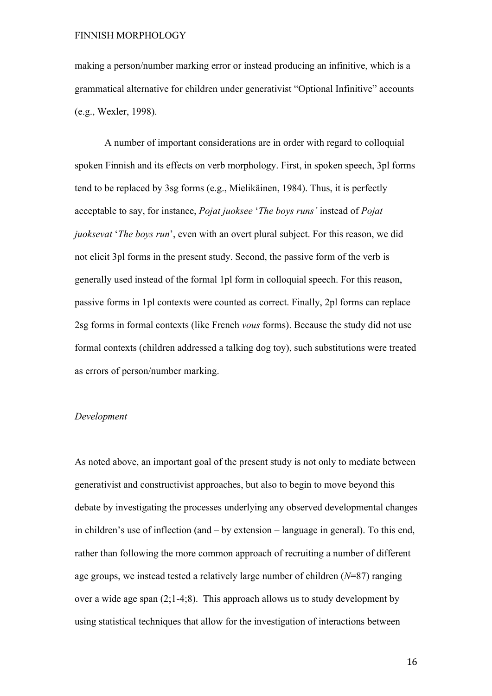making a person/number marking error or instead producing an infinitive, which is a grammatical alternative for children under generativist "Optional Infinitive" accounts (e.g., Wexler, 1998).

A number of important considerations are in order with regard to colloquial spoken Finnish and its effects on verb morphology. First, in spoken speech, 3pl forms tend to be replaced by 3sg forms (e.g., Mielikäinen, 1984). Thus, it is perfectly acceptable to say, for instance, *Pojat juoksee* '*The boys runs'* instead of *Pojat juoksevat* '*The boys run*', even with an overt plural subject. For this reason, we did not elicit 3pl forms in the present study. Second, the passive form of the verb is generally used instead of the formal 1pl form in colloquial speech. For this reason, passive forms in 1pl contexts were counted as correct. Finally, 2pl forms can replace 2sg forms in formal contexts (like French *vous* forms). Because the study did not use formal contexts (children addressed a talking dog toy), such substitutions were treated as errors of person/number marking.

### *Development*

As noted above, an important goal of the present study is not only to mediate between generativist and constructivist approaches, but also to begin to move beyond this debate by investigating the processes underlying any observed developmental changes in children's use of inflection (and – by extension – language in general). To this end, rather than following the more common approach of recruiting a number of different age groups, we instead tested a relatively large number of children (*N*=87) ranging over a wide age span (2;1-4;8). This approach allows us to study development by using statistical techniques that allow for the investigation of interactions between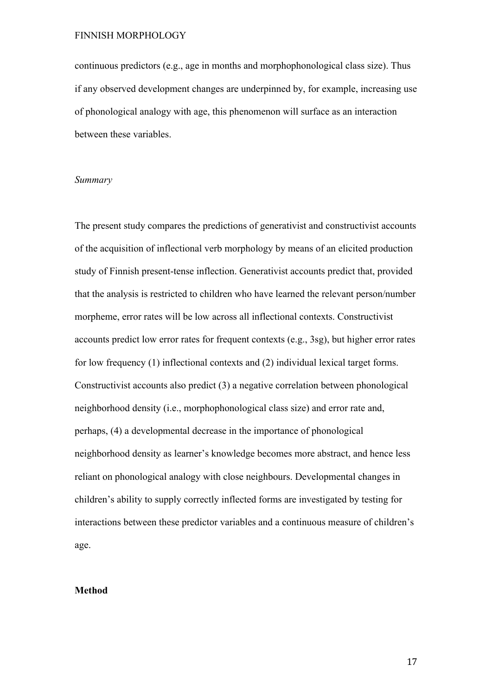continuous predictors (e.g., age in months and morphophonological class size). Thus if any observed development changes are underpinned by, for example, increasing use of phonological analogy with age, this phenomenon will surface as an interaction between these variables.

#### *Summary*

The present study compares the predictions of generativist and constructivist accounts of the acquisition of inflectional verb morphology by means of an elicited production study of Finnish present-tense inflection. Generativist accounts predict that, provided that the analysis is restricted to children who have learned the relevant person/number morpheme, error rates will be low across all inflectional contexts. Constructivist accounts predict low error rates for frequent contexts (e.g., 3sg), but higher error rates for low frequency (1) inflectional contexts and (2) individual lexical target forms. Constructivist accounts also predict (3) a negative correlation between phonological neighborhood density (i.e., morphophonological class size) and error rate and, perhaps, (4) a developmental decrease in the importance of phonological neighborhood density as learner's knowledge becomes more abstract, and hence less reliant on phonological analogy with close neighbours. Developmental changes in children's ability to supply correctly inflected forms are investigated by testing for interactions between these predictor variables and a continuous measure of children's age.

#### **Method**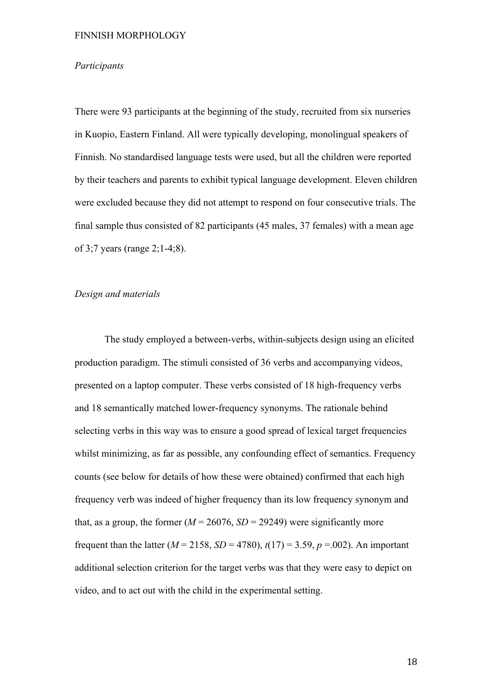#### *Participants*

There were 93 participants at the beginning of the study, recruited from six nurseries in Kuopio, Eastern Finland. All were typically developing, monolingual speakers of Finnish. No standardised language tests were used, but all the children were reported by their teachers and parents to exhibit typical language development. Eleven children were excluded because they did not attempt to respond on four consecutive trials. The final sample thus consisted of 82 participants (45 males, 37 females) with a mean age of 3;7 years (range 2;1-4;8).

# *Design and materials*

The study employed a between-verbs, within-subjects design using an elicited production paradigm. The stimuli consisted of 36 verbs and accompanying videos, presented on a laptop computer. These verbs consisted of 18 high-frequency verbs and 18 semantically matched lower-frequency synonyms. The rationale behind selecting verbs in this way was to ensure a good spread of lexical target frequencies whilst minimizing, as far as possible, any confounding effect of semantics. Frequency counts (see below for details of how these were obtained) confirmed that each high frequency verb was indeed of higher frequency than its low frequency synonym and that, as a group, the former  $(M = 26076, SD = 29249)$  were significantly more frequent than the latter ( $M = 2158$ ,  $SD = 4780$ ),  $t(17) = 3.59$ ,  $p = .002$ ). An important additional selection criterion for the target verbs was that they were easy to depict on video, and to act out with the child in the experimental setting.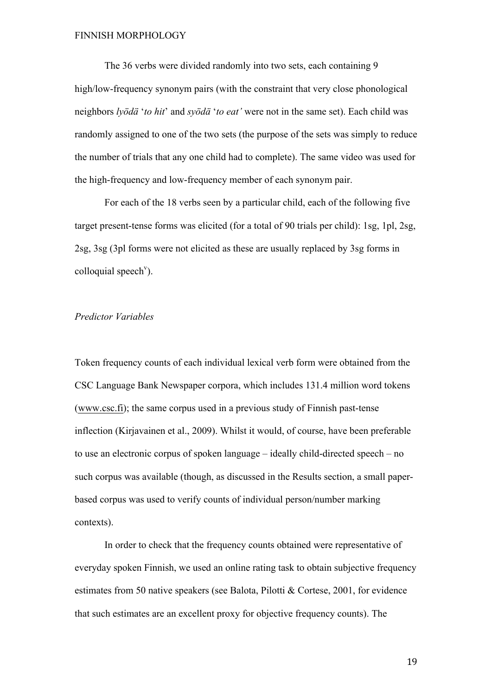The 36 verbs were divided randomly into two sets, each containing 9 high/low-frequency synonym pairs (with the constraint that very close phonological neighbors *lyödä* '*to hit*' and *syödä* '*to eat'* were not in the same set). Each child was randomly assigned to one of the two sets (the purpose of the sets was simply to reduce the number of trials that any one child had to complete). The same video was used for the high-frequency and low-frequency member of each synonym pair.

For each of the 18 verbs seen by a particular child, each of the following five target present-tense forms was elicited (for a total of 90 trials per child): 1sg, 1pl, 2sg, 2sg, 3sg (3pl forms were not elicited as these are usually replaced by 3sg forms in colloquial speech<sup>v</sup>).

#### *Predictor Variables*

Token frequency counts of each individual lexical verb form were obtained from the CSC Language Bank Newspaper corpora, which includes 131.4 million word tokens (www.csc.fi); the same corpus used in a previous study of Finnish past-tense inflection (Kirjavainen et al., 2009). Whilst it would, of course, have been preferable to use an electronic corpus of spoken language – ideally child-directed speech – no such corpus was available (though, as discussed in the Results section, a small paperbased corpus was used to verify counts of individual person/number marking contexts).

In order to check that the frequency counts obtained were representative of everyday spoken Finnish, we used an online rating task to obtain subjective frequency estimates from 50 native speakers (see Balota, Pilotti & Cortese, 2001, for evidence that such estimates are an excellent proxy for objective frequency counts). The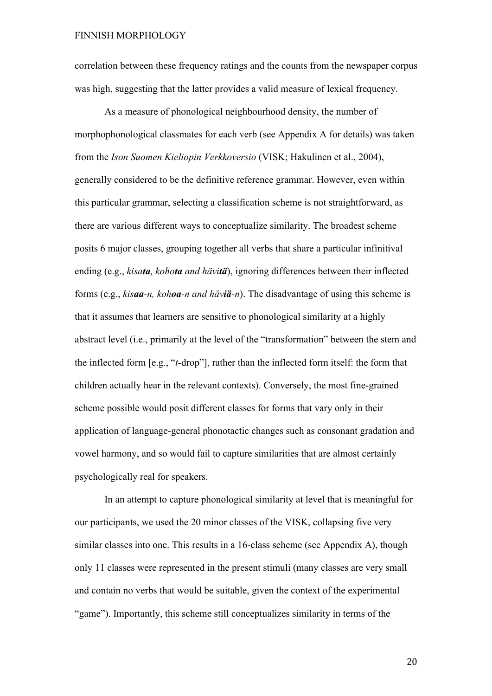correlation between these frequency ratings and the counts from the newspaper corpus was high, suggesting that the latter provides a valid measure of lexical frequency.

As a measure of phonological neighbourhood density, the number of morphophonological classmates for each verb (see Appendix A for details) was taken from the *Ison Suomen Kieliopin Verkkoversio* (VISK; Hakulinen et al., 2004), generally considered to be the definitive reference grammar. However, even within this particular grammar, selecting a classification scheme is not straightforward, as there are various different ways to conceptualize similarity. The broadest scheme posits 6 major classes, grouping together all verbs that share a particular infinitival ending (e.g., *kisata, kohota and hävitä*), ignoring differences between their inflected forms (e.g., *kisaa-n, kohoa-n and häviä-n*). The disadvantage of using this scheme is that it assumes that learners are sensitive to phonological similarity at a highly abstract level (i.e., primarily at the level of the "transformation" between the stem and the inflected form [e.g., "*t-*drop"], rather than the inflected form itself: the form that children actually hear in the relevant contexts). Conversely, the most fine-grained scheme possible would posit different classes for forms that vary only in their application of language-general phonotactic changes such as consonant gradation and vowel harmony, and so would fail to capture similarities that are almost certainly psychologically real for speakers.

In an attempt to capture phonological similarity at level that is meaningful for our participants, we used the 20 minor classes of the VISK, collapsing five very similar classes into one. This results in a 16-class scheme (see Appendix A), though only 11 classes were represented in the present stimuli (many classes are very small and contain no verbs that would be suitable, given the context of the experimental "game"). Importantly, this scheme still conceptualizes similarity in terms of the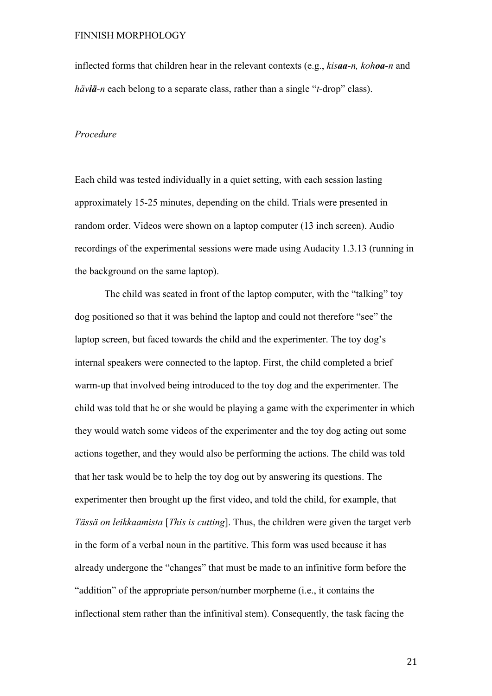inflected forms that children hear in the relevant contexts (e.g., *kisaa-n, kohoa-n* and *häviä-n* each belong to a separate class, rather than a single "*t-*drop" class).

# *Procedure*

Each child was tested individually in a quiet setting, with each session lasting approximately 15-25 minutes, depending on the child. Trials were presented in random order. Videos were shown on a laptop computer (13 inch screen). Audio recordings of the experimental sessions were made using Audacity 1.3.13 (running in the background on the same laptop).

The child was seated in front of the laptop computer, with the "talking" toy dog positioned so that it was behind the laptop and could not therefore "see" the laptop screen, but faced towards the child and the experimenter. The toy dog's internal speakers were connected to the laptop. First, the child completed a brief warm-up that involved being introduced to the toy dog and the experimenter. The child was told that he or she would be playing a game with the experimenter in which they would watch some videos of the experimenter and the toy dog acting out some actions together, and they would also be performing the actions. The child was told that her task would be to help the toy dog out by answering its questions. The experimenter then brought up the first video, and told the child, for example, that *Tässä on leikkaamista* [*This is cutting*]. Thus, the children were given the target verb in the form of a verbal noun in the partitive. This form was used because it has already undergone the "changes" that must be made to an infinitive form before the "addition" of the appropriate person/number morpheme (i.e., it contains the inflectional stem rather than the infinitival stem). Consequently, the task facing the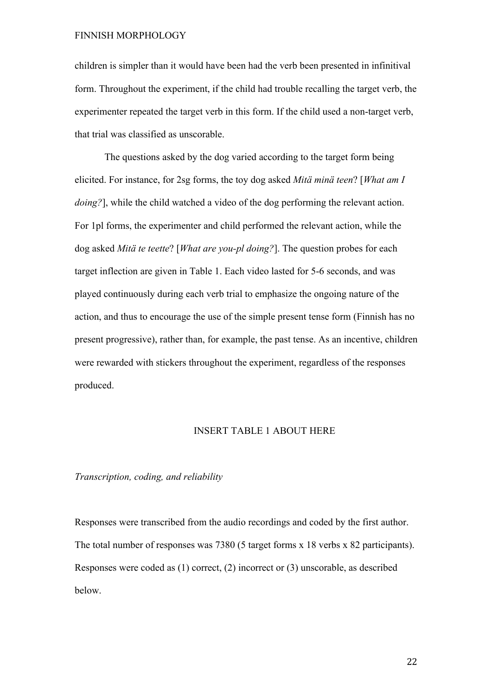children is simpler than it would have been had the verb been presented in infinitival form. Throughout the experiment, if the child had trouble recalling the target verb, the experimenter repeated the target verb in this form. If the child used a non-target verb, that trial was classified as unscorable.

The questions asked by the dog varied according to the target form being elicited. For instance, for 2sg forms, the toy dog asked *Mitä minä teen*? [*What am I doing?*], while the child watched a video of the dog performing the relevant action. For 1pl forms, the experimenter and child performed the relevant action, while the dog asked *Mitä te teette*? [*What are you-pl doing?*]. The question probes for each target inflection are given in Table 1. Each video lasted for 5-6 seconds, and was played continuously during each verb trial to emphasize the ongoing nature of the action, and thus to encourage the use of the simple present tense form (Finnish has no present progressive), rather than, for example, the past tense. As an incentive, children were rewarded with stickers throughout the experiment, regardless of the responses produced.

# INSERT TABLE 1 ABOUT HERE

### *Transcription, coding, and reliability*

Responses were transcribed from the audio recordings and coded by the first author. The total number of responses was 7380 (5 target forms x 18 verbs x 82 participants). Responses were coded as (1) correct, (2) incorrect or (3) unscorable, as described below.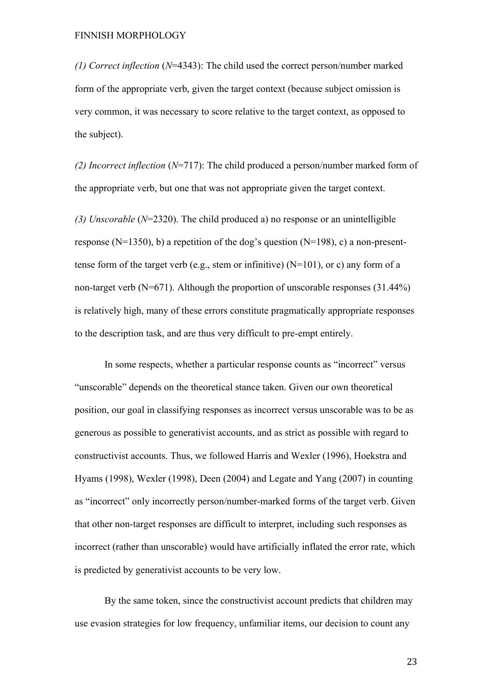*(1) Correct inflection* (*N*=4343): The child used the correct person/number marked form of the appropriate verb, given the target context (because subject omission is very common, it was necessary to score relative to the target context, as opposed to the subject).

*(2) Incorrect inflection* (*N*=717): The child produced a person/number marked form of the appropriate verb, but one that was not appropriate given the target context.

*(3) Unscorable* (*N*=2320). The child produced a) no response or an unintelligible response (N=1350), b) a repetition of the dog's question (N=198), c) a non-presenttense form of the target verb (e.g., stem or infinitive)  $(N=101)$ , or c) any form of a non-target verb ( $N=671$ ). Although the proportion of unscorable responses (31.44%) is relatively high, many of these errors constitute pragmatically appropriate responses to the description task, and are thus very difficult to pre-empt entirely.

In some respects, whether a particular response counts as "incorrect" versus "unscorable" depends on the theoretical stance taken. Given our own theoretical position, our goal in classifying responses as incorrect versus unscorable was to be as generous as possible to generativist accounts, and as strict as possible with regard to constructivist accounts. Thus, we followed Harris and Wexler (1996), Hoekstra and Hyams (1998), Wexler (1998), Deen (2004) and Legate and Yang (2007) in counting as "incorrect" only incorrectly person/number-marked forms of the target verb. Given that other non-target responses are difficult to interpret, including such responses as incorrect (rather than unscorable) would have artificially inflated the error rate, which is predicted by generativist accounts to be very low.

By the same token, since the constructivist account predicts that children may use evasion strategies for low frequency, unfamiliar items, our decision to count any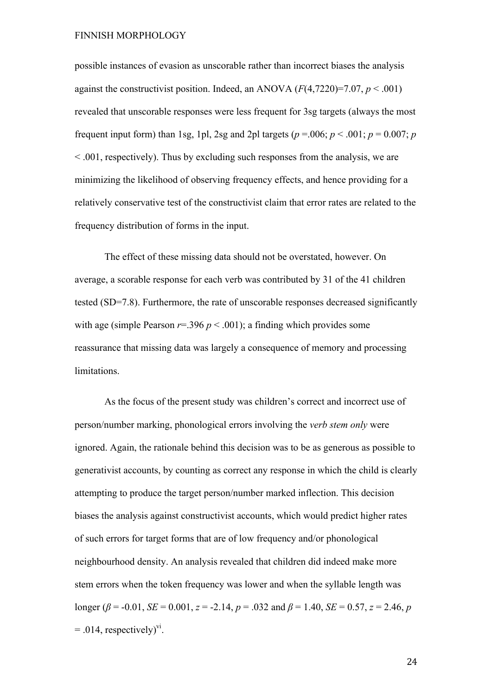possible instances of evasion as unscorable rather than incorrect biases the analysis against the constructivist position. Indeed, an ANOVA  $(F(4,7220)=7.07, p < .001)$ revealed that unscorable responses were less frequent for 3sg targets (always the most frequent input form) than 1sg, 1pl, 2sg and 2pl targets ( $p = .006$ ;  $p < .001$ ;  $p = 0.007$ ; *p* < .001, respectively). Thus by excluding such responses from the analysis, we are minimizing the likelihood of observing frequency effects, and hence providing for a relatively conservative test of the constructivist claim that error rates are related to the frequency distribution of forms in the input.

The effect of these missing data should not be overstated, however. On average, a scorable response for each verb was contributed by 31 of the 41 children tested (SD=7.8). Furthermore, the rate of unscorable responses decreased significantly with age (simple Pearson  $r=396$   $p < .001$ ); a finding which provides some reassurance that missing data was largely a consequence of memory and processing limitations.

As the focus of the present study was children's correct and incorrect use of person/number marking, phonological errors involving the *verb stem only* were ignored. Again, the rationale behind this decision was to be as generous as possible to generativist accounts, by counting as correct any response in which the child is clearly attempting to produce the target person/number marked inflection. This decision biases the analysis against constructivist accounts, which would predict higher rates of such errors for target forms that are of low frequency and/or phonological neighbourhood density. An analysis revealed that children did indeed make more stem errors when the token frequency was lower and when the syllable length was longer ( $\beta$  = -0.01, *SE* = 0.001, *z* = -2.14, *p* = .032 and  $\beta$  = 1.40, *SE* = 0.57, *z* = 2.46, *p*  $= .014$ , respectively)<sup>vi</sup>.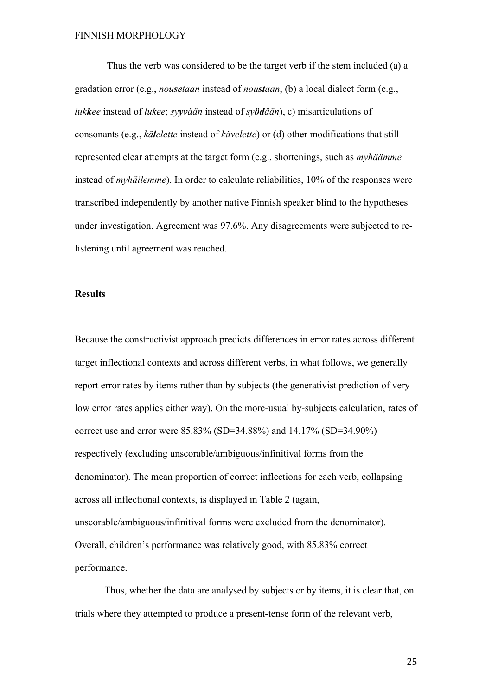Thus the verb was considered to be the target verb if the stem included (a) a gradation error (e.g., *nousetaan* instead of *noustaan*, (b) a local dialect form (e.g., *lukkee* instead of *lukee*; *syyvään* instead of *syödään*), c) misarticulations of consonants (e.g., *kälelette* instead of *kävelette*) or (d) other modifications that still represented clear attempts at the target form (e.g., shortenings, such as *myhäämme* instead of *myhäilemme*). In order to calculate reliabilities, 10% of the responses were transcribed independently by another native Finnish speaker blind to the hypotheses under investigation. Agreement was 97.6%. Any disagreements were subjected to relistening until agreement was reached.

# **Results**

Because the constructivist approach predicts differences in error rates across different target inflectional contexts and across different verbs, in what follows, we generally report error rates by items rather than by subjects (the generativist prediction of very low error rates applies either way). On the more-usual by-subjects calculation, rates of correct use and error were 85.83% (SD=34.88%) and 14.17% (SD=34.90%) respectively (excluding unscorable/ambiguous/infinitival forms from the denominator). The mean proportion of correct inflections for each verb, collapsing across all inflectional contexts, is displayed in Table 2 (again, unscorable/ambiguous/infinitival forms were excluded from the denominator). Overall, children's performance was relatively good, with 85.83% correct performance.

Thus, whether the data are analysed by subjects or by items, it is clear that, on trials where they attempted to produce a present-tense form of the relevant verb,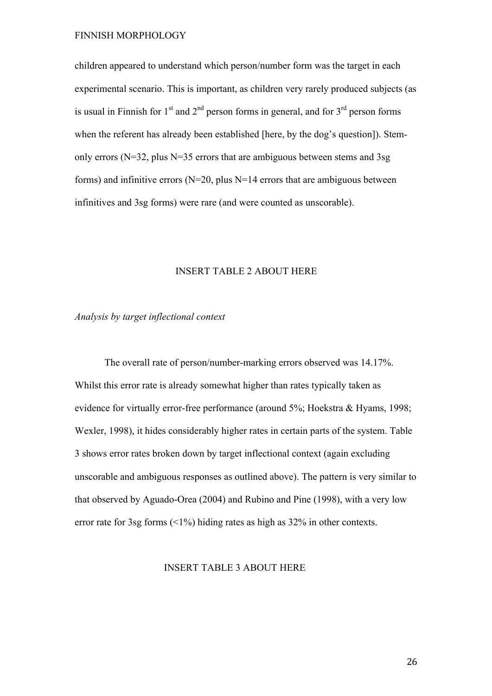children appeared to understand which person/number form was the target in each experimental scenario. This is important, as children very rarely produced subjects (as is usual in Finnish for  $1<sup>st</sup>$  and  $2<sup>nd</sup>$  person forms in general, and for  $3<sup>rd</sup>$  person forms when the referent has already been established [here, by the dog's question]). Stemonly errors ( $N=32$ , plus  $N=35$  errors that are ambiguous between stems and 3sg forms) and infinitive errors ( $N=20$ , plus  $N=14$  errors that are ambiguous between infinitives and 3sg forms) were rare (and were counted as unscorable).

# INSERT TABLE 2 ABOUT HERE

*Analysis by target inflectional context*

The overall rate of person/number-marking errors observed was 14.17%. Whilst this error rate is already somewhat higher than rates typically taken as evidence for virtually error-free performance (around 5%; Hoekstra & Hyams, 1998; Wexler, 1998), it hides considerably higher rates in certain parts of the system. Table 3 shows error rates broken down by target inflectional context (again excluding unscorable and ambiguous responses as outlined above). The pattern is very similar to that observed by Aguado-Orea (2004) and Rubino and Pine (1998), with a very low error rate for 3sg forms (<1%) hiding rates as high as 32% in other contexts.

INSERT TABLE 3 ABOUT HERE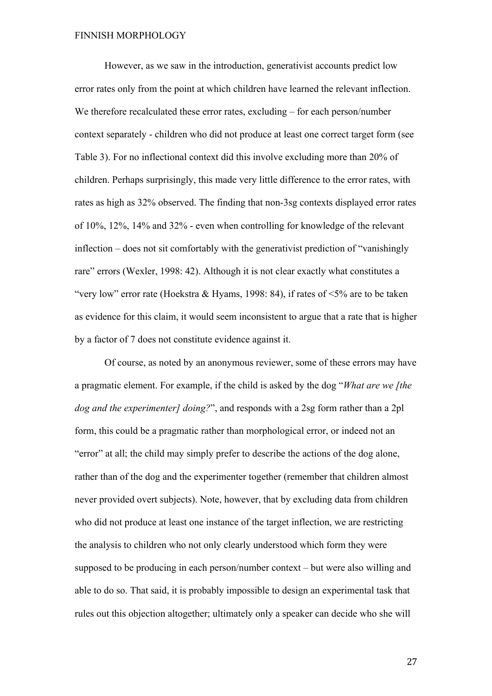However, as we saw in the introduction, generativist accounts predict low error rates only from the point at which children have learned the relevant inflection. We therefore recalculated these error rates, excluding – for each person/number context separately - children who did not produce at least one correct target form (see Table 3). For no inflectional context did this involve excluding more than 20% of children. Perhaps surprisingly, this made very little difference to the error rates, with rates as high as 32% observed. The finding that non-3sg contexts displayed error rates of 10%, 12%, 14% and 32% - even when controlling for knowledge of the relevant inflection – does not sit comfortably with the generativist prediction of "vanishingly rare" errors (Wexler, 1998: 42). Although it is not clear exactly what constitutes a "very low" error rate (Hoekstra & Hyams, 1998: 84), if rates of  $\leq 5\%$  are to be taken as evidence for this claim, it would seem inconsistent to argue that a rate that is higher by a factor of 7 does not constitute evidence against it.

Of course, as noted by an anonymous reviewer, some of these errors may have a pragmatic element. For example, if the child is asked by the dog "*What are we [the dog and the experimenter] doing?*", and responds with a 2sg form rather than a 2pl form, this could be a pragmatic rather than morphological error, or indeed not an "error" at all; the child may simply prefer to describe the actions of the dog alone, rather than of the dog and the experimenter together (remember that children almost never provided overt subjects). Note, however, that by excluding data from children who did not produce at least one instance of the target inflection, we are restricting the analysis to children who not only clearly understood which form they were supposed to be producing in each person/number context – but were also willing and able to do so. That said, it is probably impossible to design an experimental task that rules out this objection altogether; ultimately only a speaker can decide who she will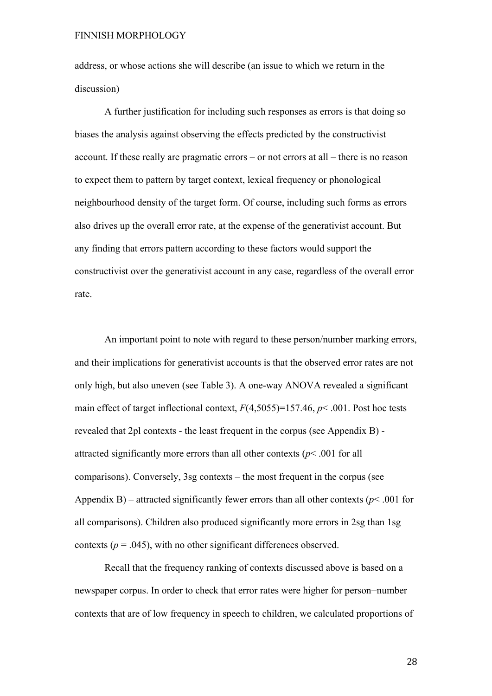address, or whose actions she will describe (an issue to which we return in the discussion)

A further justification for including such responses as errors is that doing so biases the analysis against observing the effects predicted by the constructivist account. If these really are pragmatic errors – or not errors at all – there is no reason to expect them to pattern by target context, lexical frequency or phonological neighbourhood density of the target form. Of course, including such forms as errors also drives up the overall error rate, at the expense of the generativist account. But any finding that errors pattern according to these factors would support the constructivist over the generativist account in any case, regardless of the overall error rate.

An important point to note with regard to these person/number marking errors, and their implications for generativist accounts is that the observed error rates are not only high, but also uneven (see Table 3). A one-way ANOVA revealed a significant main effect of target inflectional context, *F*(4,5055)=157.46, *p*< .001. Post hoc tests revealed that 2pl contexts - the least frequent in the corpus (see Appendix B) attracted significantly more errors than all other contexts ( $p$ < .001 for all comparisons). Conversely, 3sg contexts – the most frequent in the corpus (see Appendix B) – attracted significantly fewer errors than all other contexts ( $p$ < .001 for all comparisons). Children also produced significantly more errors in 2sg than 1sg contexts ( $p = .045$ ), with no other significant differences observed.

Recall that the frequency ranking of contexts discussed above is based on a newspaper corpus. In order to check that error rates were higher for person+number contexts that are of low frequency in speech to children, we calculated proportions of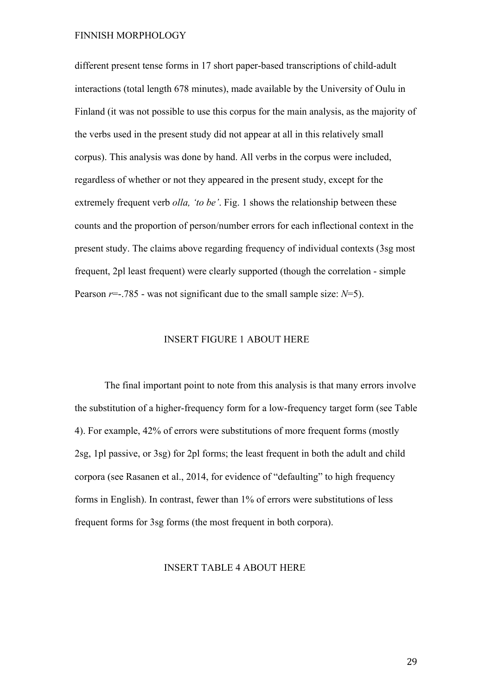different present tense forms in 17 short paper-based transcriptions of child-adult interactions (total length 678 minutes), made available by the University of Oulu in Finland (it was not possible to use this corpus for the main analysis, as the majority of the verbs used in the present study did not appear at all in this relatively small corpus). This analysis was done by hand. All verbs in the corpus were included, regardless of whether or not they appeared in the present study, except for the extremely frequent verb *olla, 'to be'*. Fig. 1 shows the relationship between these counts and the proportion of person/number errors for each inflectional context in the present study. The claims above regarding frequency of individual contexts (3sg most frequent, 2pl least frequent) were clearly supported (though the correlation - simple Pearson *r*=-.785 - was not significant due to the small sample size: *N*=5).

### INSERT FIGURE 1 ABOUT HERE

The final important point to note from this analysis is that many errors involve the substitution of a higher-frequency form for a low-frequency target form (see Table 4). For example, 42% of errors were substitutions of more frequent forms (mostly 2sg, 1pl passive, or 3sg) for 2pl forms; the least frequent in both the adult and child corpora (see Rasanen et al., 2014, for evidence of "defaulting" to high frequency forms in English). In contrast, fewer than 1% of errors were substitutions of less frequent forms for 3sg forms (the most frequent in both corpora).

# INSERT TABLE 4 ABOUT HERE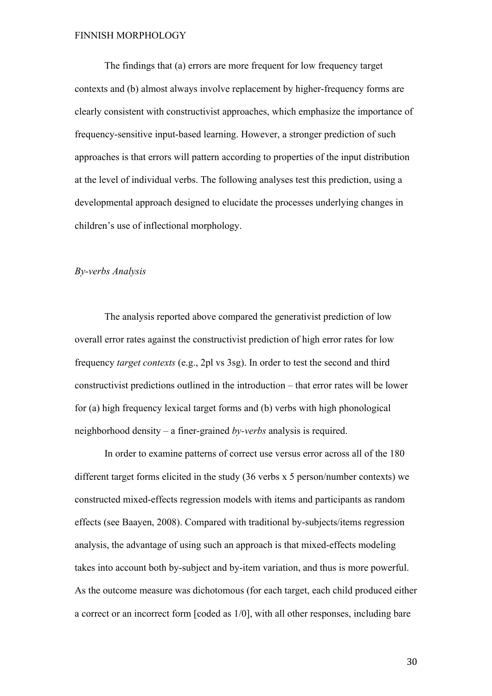The findings that (a) errors are more frequent for low frequency target contexts and (b) almost always involve replacement by higher-frequency forms are clearly consistent with constructivist approaches, which emphasize the importance of frequency-sensitive input-based learning. However, a stronger prediction of such approaches is that errors will pattern according to properties of the input distribution at the level of individual verbs. The following analyses test this prediction, using a developmental approach designed to elucidate the processes underlying changes in children's use of inflectional morphology.

#### *By-verbs Analysis*

The analysis reported above compared the generativist prediction of low overall error rates against the constructivist prediction of high error rates for low frequency *target contexts* (e.g., 2pl vs 3sg). In order to test the second and third constructivist predictions outlined in the introduction – that error rates will be lower for (a) high frequency lexical target forms and (b) verbs with high phonological neighborhood density – a finer-grained *by-verbs* analysis is required.

In order to examine patterns of correct use versus error across all of the 180 different target forms elicited in the study (36 verbs x 5 person/number contexts) we constructed mixed-effects regression models with items and participants as random effects (see Baayen, 2008). Compared with traditional by-subjects/items regression analysis, the advantage of using such an approach is that mixed-effects modeling takes into account both by-subject and by-item variation, and thus is more powerful. As the outcome measure was dichotomous (for each target, each child produced either a correct or an incorrect form [coded as 1/0], with all other responses, including bare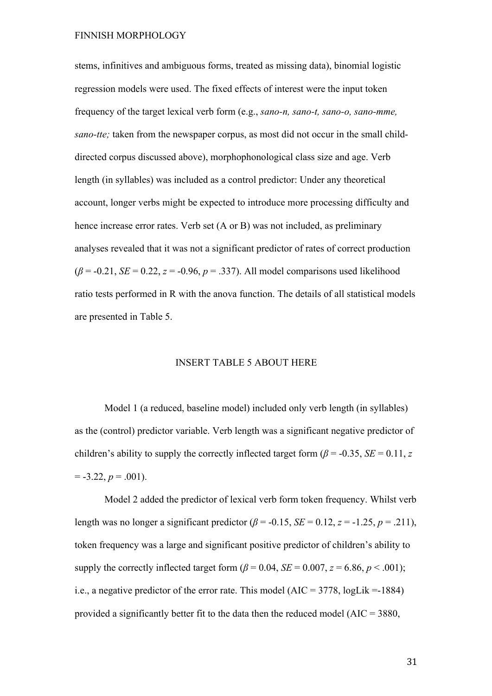stems, infinitives and ambiguous forms, treated as missing data), binomial logistic regression models were used. The fixed effects of interest were the input token frequency of the target lexical verb form (e.g., *sano-n, sano-t, sano-o, sano-mme, sano-tte;* taken from the newspaper corpus, as most did not occur in the small childdirected corpus discussed above), morphophonological class size and age. Verb length (in syllables) was included as a control predictor: Under any theoretical account, longer verbs might be expected to introduce more processing difficulty and hence increase error rates. Verb set (A or B) was not included, as preliminary analyses revealed that it was not a significant predictor of rates of correct production  $(\beta = -0.21, SE = 0.22, z = -0.96, p = .337)$ . All model comparisons used likelihood ratio tests performed in R with the anova function. The details of all statistical models are presented in Table 5.

#### INSERT TABLE 5 ABOUT HERE

Model 1 (a reduced, baseline model) included only verb length (in syllables) as the (control) predictor variable. Verb length was a significant negative predictor of children's ability to supply the correctly inflected target form ( $\beta$  = -0.35, *SE* = 0.11, *z*  $= -3.22, p = .001$ .

Model 2 added the predictor of lexical verb form token frequency. Whilst verb length was no longer a significant predictor  $(\beta = -0.15, SE = 0.12, z = -1.25, p = .211)$ , token frequency was a large and significant positive predictor of children's ability to supply the correctly inflected target form  $(\beta = 0.04, SE = 0.007, z = 6.86, p < .001)$ ; i.e., a negative predictor of the error rate. This model (AIC = 3778, logLik =-1884) provided a significantly better fit to the data then the reduced model ( $AIC = 3880$ ,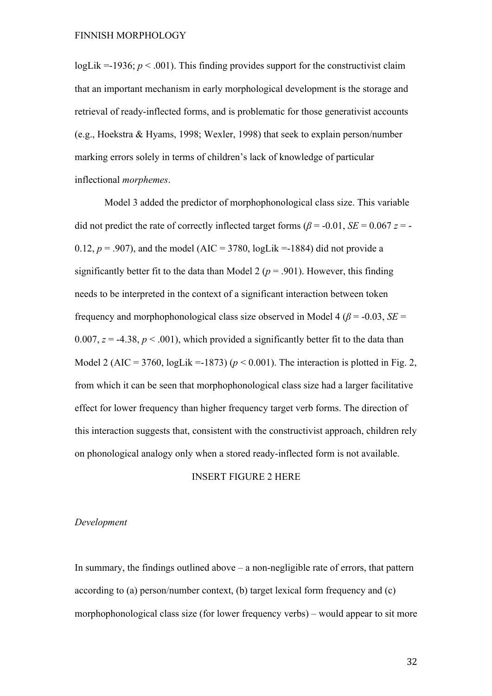logLik  $=$ -1936;  $p < .001$ ). This finding provides support for the constructivist claim that an important mechanism in early morphological development is the storage and retrieval of ready-inflected forms, and is problematic for those generativist accounts (e.g., Hoekstra & Hyams, 1998; Wexler, 1998) that seek to explain person/number marking errors solely in terms of children's lack of knowledge of particular inflectional *morphemes*.

Model 3 added the predictor of morphophonological class size. This variable did not predict the rate of correctly inflected target forms ( $\beta$  = -0.01, *SE* = 0.067 *z* = -0.12,  $p = .907$ ), and the model (AIC = 3780, logLik = -1884) did not provide a significantly better fit to the data than Model 2 ( $p = .901$ ). However, this finding needs to be interpreted in the context of a significant interaction between token frequency and morphophonological class size observed in Model 4 ( $\beta$  = -0.03, *SE* = 0.007,  $z = -4.38$ ,  $p < .001$ ), which provided a significantly better fit to the data than Model 2 (AIC = 3760, logLik = -1873) ( $p < 0.001$ ). The interaction is plotted in Fig. 2, from which it can be seen that morphophonological class size had a larger facilitative effect for lower frequency than higher frequency target verb forms. The direction of this interaction suggests that, consistent with the constructivist approach, children rely on phonological analogy only when a stored ready-inflected form is not available.

### INSERT FIGURE 2 HERE

# *Development*

In summary, the findings outlined above  $-$  a non-negligible rate of errors, that pattern according to (a) person/number context, (b) target lexical form frequency and (c) morphophonological class size (for lower frequency verbs) – would appear to sit more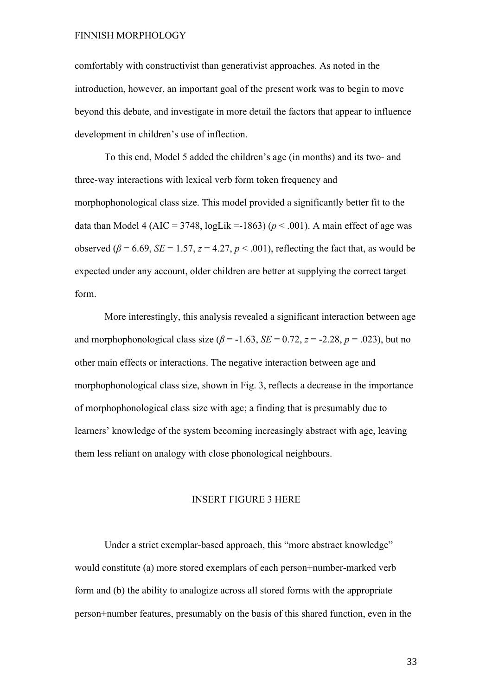comfortably with constructivist than generativist approaches. As noted in the introduction, however, an important goal of the present work was to begin to move beyond this debate, and investigate in more detail the factors that appear to influence development in children's use of inflection.

To this end, Model 5 added the children's age (in months) and its two- and three-way interactions with lexical verb form token frequency and morphophonological class size. This model provided a significantly better fit to the data than Model 4 (AIC = 3748,  $logLik = 1863$ ) ( $p < .001$ ). A main effect of age was observed ( $\beta$  = 6.69, *SE* = 1.57, *z* = 4.27, *p* < .001), reflecting the fact that, as would be expected under any account, older children are better at supplying the correct target form.

More interestingly, this analysis revealed a significant interaction between age and morphophonological class size  $(\beta = -1.63, SE = 0.72, z = -2.28, p = .023)$ , but no other main effects or interactions. The negative interaction between age and morphophonological class size, shown in Fig. 3, reflects a decrease in the importance of morphophonological class size with age; a finding that is presumably due to learners' knowledge of the system becoming increasingly abstract with age, leaving them less reliant on analogy with close phonological neighbours.

#### INSERT FIGURE 3 HERE

Under a strict exemplar-based approach, this "more abstract knowledge" would constitute (a) more stored exemplars of each person+number-marked verb form and (b) the ability to analogize across all stored forms with the appropriate person+number features, presumably on the basis of this shared function, even in the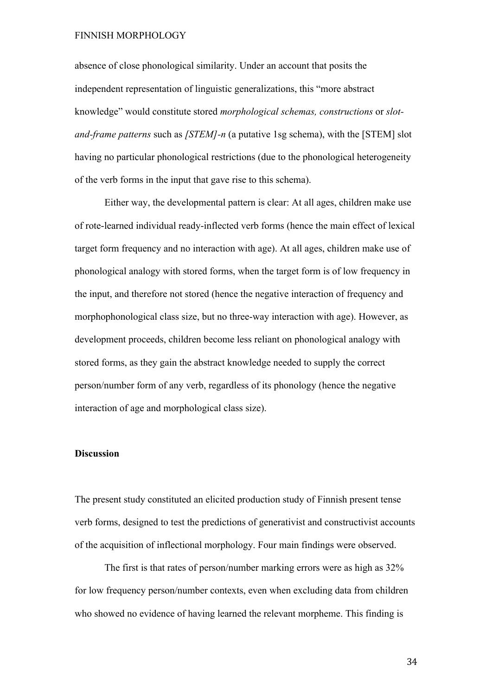absence of close phonological similarity. Under an account that posits the independent representation of linguistic generalizations, this "more abstract knowledge" would constitute stored *morphological schemas, constructions* or *slotand-frame patterns* such as *[STEM]-n* (a putative 1sg schema), with the [STEM] slot having no particular phonological restrictions (due to the phonological heterogeneity of the verb forms in the input that gave rise to this schema).

Either way, the developmental pattern is clear: At all ages, children make use of rote-learned individual ready-inflected verb forms (hence the main effect of lexical target form frequency and no interaction with age). At all ages, children make use of phonological analogy with stored forms, when the target form is of low frequency in the input, and therefore not stored (hence the negative interaction of frequency and morphophonological class size, but no three-way interaction with age). However, as development proceeds, children become less reliant on phonological analogy with stored forms, as they gain the abstract knowledge needed to supply the correct person/number form of any verb, regardless of its phonology (hence the negative interaction of age and morphological class size).

### **Discussion**

The present study constituted an elicited production study of Finnish present tense verb forms, designed to test the predictions of generativist and constructivist accounts of the acquisition of inflectional morphology. Four main findings were observed.

The first is that rates of person/number marking errors were as high as 32% for low frequency person/number contexts, even when excluding data from children who showed no evidence of having learned the relevant morpheme. This finding is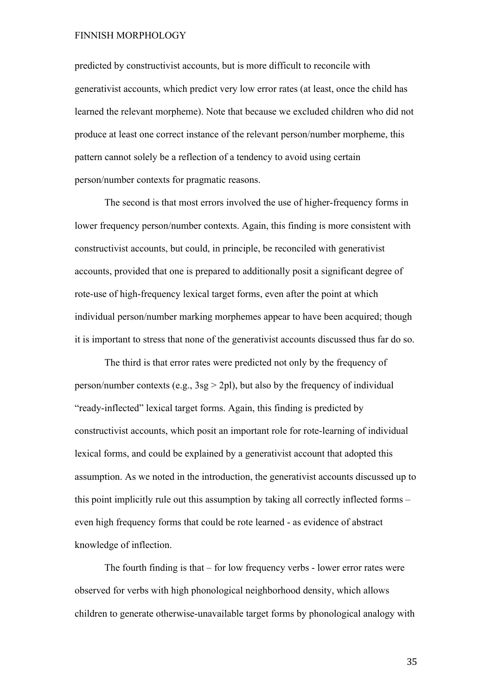predicted by constructivist accounts, but is more difficult to reconcile with generativist accounts, which predict very low error rates (at least, once the child has learned the relevant morpheme). Note that because we excluded children who did not produce at least one correct instance of the relevant person/number morpheme, this pattern cannot solely be a reflection of a tendency to avoid using certain person/number contexts for pragmatic reasons.

The second is that most errors involved the use of higher-frequency forms in lower frequency person/number contexts. Again, this finding is more consistent with constructivist accounts, but could, in principle, be reconciled with generativist accounts, provided that one is prepared to additionally posit a significant degree of rote-use of high-frequency lexical target forms, even after the point at which individual person/number marking morphemes appear to have been acquired; though it is important to stress that none of the generativist accounts discussed thus far do so.

The third is that error rates were predicted not only by the frequency of person/number contexts (e.g.,  $3sg > 2pl$ ), but also by the frequency of individual "ready-inflected" lexical target forms. Again, this finding is predicted by constructivist accounts, which posit an important role for rote-learning of individual lexical forms, and could be explained by a generativist account that adopted this assumption. As we noted in the introduction, the generativist accounts discussed up to this point implicitly rule out this assumption by taking all correctly inflected forms – even high frequency forms that could be rote learned - as evidence of abstract knowledge of inflection.

The fourth finding is that – for low frequency verbs - lower error rates were observed for verbs with high phonological neighborhood density, which allows children to generate otherwise-unavailable target forms by phonological analogy with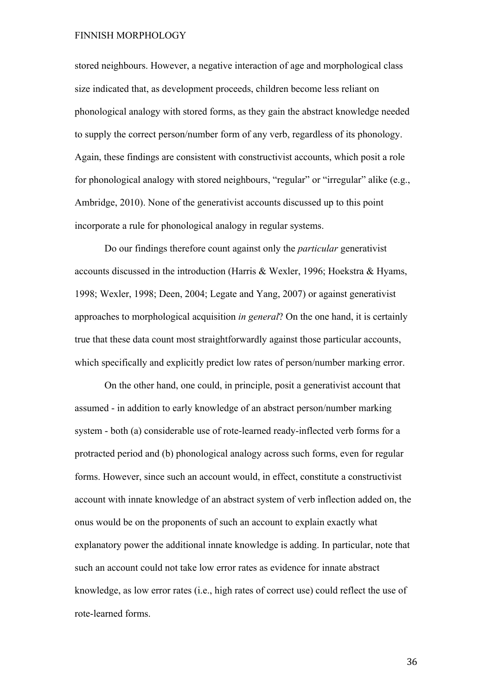stored neighbours. However, a negative interaction of age and morphological class size indicated that, as development proceeds, children become less reliant on phonological analogy with stored forms, as they gain the abstract knowledge needed to supply the correct person/number form of any verb, regardless of its phonology. Again, these findings are consistent with constructivist accounts, which posit a role for phonological analogy with stored neighbours, "regular" or "irregular" alike (e.g., Ambridge, 2010). None of the generativist accounts discussed up to this point incorporate a rule for phonological analogy in regular systems.

Do our findings therefore count against only the *particular* generativist accounts discussed in the introduction (Harris & Wexler, 1996; Hoekstra & Hyams, 1998; Wexler, 1998; Deen, 2004; Legate and Yang, 2007) or against generativist approaches to morphological acquisition *in general*? On the one hand, it is certainly true that these data count most straightforwardly against those particular accounts, which specifically and explicitly predict low rates of person/number marking error.

On the other hand, one could, in principle, posit a generativist account that assumed - in addition to early knowledge of an abstract person/number marking system - both (a) considerable use of rote-learned ready-inflected verb forms for a protracted period and (b) phonological analogy across such forms, even for regular forms. However, since such an account would, in effect, constitute a constructivist account with innate knowledge of an abstract system of verb inflection added on, the onus would be on the proponents of such an account to explain exactly what explanatory power the additional innate knowledge is adding. In particular, note that such an account could not take low error rates as evidence for innate abstract knowledge, as low error rates (i.e., high rates of correct use) could reflect the use of rote-learned forms.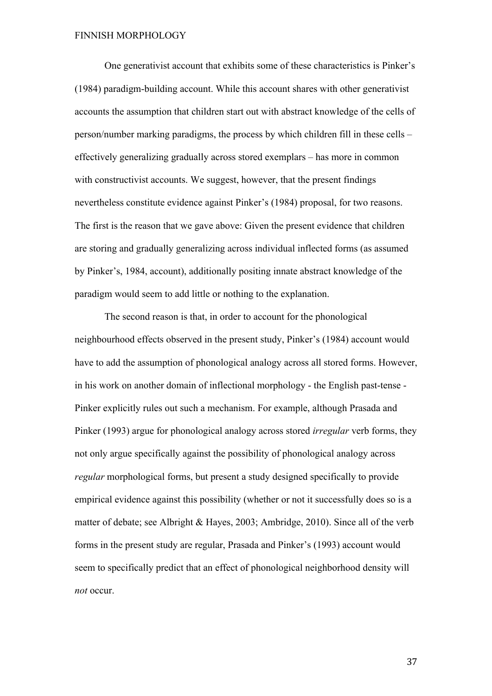One generativist account that exhibits some of these characteristics is Pinker's (1984) paradigm-building account. While this account shares with other generativist accounts the assumption that children start out with abstract knowledge of the cells of person/number marking paradigms, the process by which children fill in these cells – effectively generalizing gradually across stored exemplars – has more in common with constructivist accounts. We suggest, however, that the present findings nevertheless constitute evidence against Pinker's (1984) proposal, for two reasons. The first is the reason that we gave above: Given the present evidence that children are storing and gradually generalizing across individual inflected forms (as assumed by Pinker's, 1984, account), additionally positing innate abstract knowledge of the paradigm would seem to add little or nothing to the explanation.

The second reason is that, in order to account for the phonological neighbourhood effects observed in the present study, Pinker's (1984) account would have to add the assumption of phonological analogy across all stored forms. However, in his work on another domain of inflectional morphology - the English past-tense - Pinker explicitly rules out such a mechanism. For example, although Prasada and Pinker (1993) argue for phonological analogy across stored *irregular* verb forms, they not only argue specifically against the possibility of phonological analogy across *regular* morphological forms, but present a study designed specifically to provide empirical evidence against this possibility (whether or not it successfully does so is a matter of debate; see Albright & Hayes, 2003; Ambridge, 2010). Since all of the verb forms in the present study are regular, Prasada and Pinker's (1993) account would seem to specifically predict that an effect of phonological neighborhood density will *not* occur.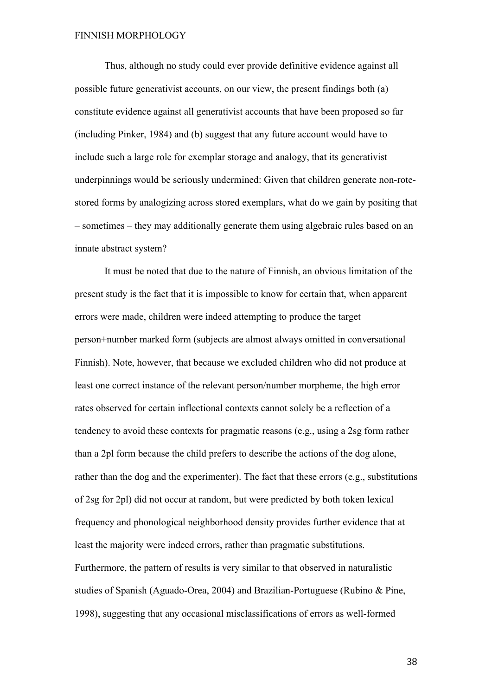Thus, although no study could ever provide definitive evidence against all possible future generativist accounts, on our view, the present findings both (a) constitute evidence against all generativist accounts that have been proposed so far (including Pinker, 1984) and (b) suggest that any future account would have to include such a large role for exemplar storage and analogy, that its generativist underpinnings would be seriously undermined: Given that children generate non-rotestored forms by analogizing across stored exemplars, what do we gain by positing that – sometimes – they may additionally generate them using algebraic rules based on an innate abstract system?

It must be noted that due to the nature of Finnish, an obvious limitation of the present study is the fact that it is impossible to know for certain that, when apparent errors were made, children were indeed attempting to produce the target person+number marked form (subjects are almost always omitted in conversational Finnish). Note, however, that because we excluded children who did not produce at least one correct instance of the relevant person/number morpheme, the high error rates observed for certain inflectional contexts cannot solely be a reflection of a tendency to avoid these contexts for pragmatic reasons (e.g., using a 2sg form rather than a 2pl form because the child prefers to describe the actions of the dog alone, rather than the dog and the experimenter). The fact that these errors (e.g., substitutions of 2sg for 2pl) did not occur at random, but were predicted by both token lexical frequency and phonological neighborhood density provides further evidence that at least the majority were indeed errors, rather than pragmatic substitutions. Furthermore, the pattern of results is very similar to that observed in naturalistic studies of Spanish (Aguado-Orea, 2004) and Brazilian-Portuguese (Rubino & Pine, 1998), suggesting that any occasional misclassifications of errors as well-formed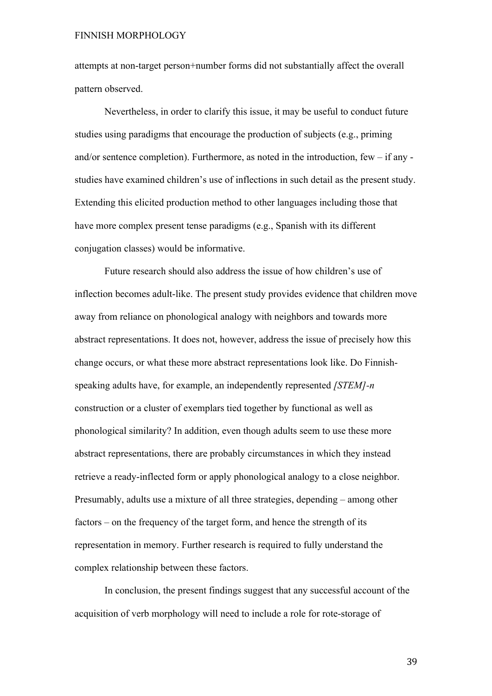attempts at non-target person+number forms did not substantially affect the overall pattern observed.

Nevertheless, in order to clarify this issue, it may be useful to conduct future studies using paradigms that encourage the production of subjects (e.g., priming and/or sentence completion). Furthermore, as noted in the introduction, few – if any studies have examined children's use of inflections in such detail as the present study. Extending this elicited production method to other languages including those that have more complex present tense paradigms (e.g., Spanish with its different conjugation classes) would be informative.

Future research should also address the issue of how children's use of inflection becomes adult-like. The present study provides evidence that children move away from reliance on phonological analogy with neighbors and towards more abstract representations. It does not, however, address the issue of precisely how this change occurs, or what these more abstract representations look like. Do Finnishspeaking adults have, for example, an independently represented *[STEM]-n* construction or a cluster of exemplars tied together by functional as well as phonological similarity? In addition, even though adults seem to use these more abstract representations, there are probably circumstances in which they instead retrieve a ready-inflected form or apply phonological analogy to a close neighbor. Presumably, adults use a mixture of all three strategies, depending – among other factors – on the frequency of the target form, and hence the strength of its representation in memory. Further research is required to fully understand the complex relationship between these factors.

In conclusion, the present findings suggest that any successful account of the acquisition of verb morphology will need to include a role for rote-storage of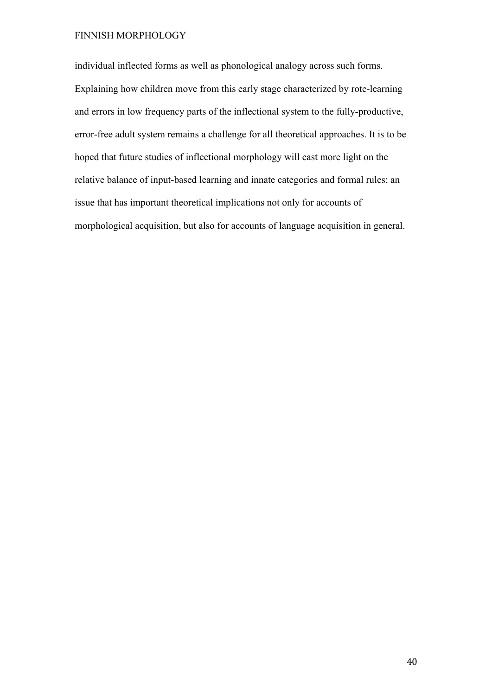individual inflected forms as well as phonological analogy across such forms. Explaining how children move from this early stage characterized by rote-learning and errors in low frequency parts of the inflectional system to the fully-productive, error-free adult system remains a challenge for all theoretical approaches. It is to be hoped that future studies of inflectional morphology will cast more light on the relative balance of input-based learning and innate categories and formal rules; an issue that has important theoretical implications not only for accounts of morphological acquisition, but also for accounts of language acquisition in general.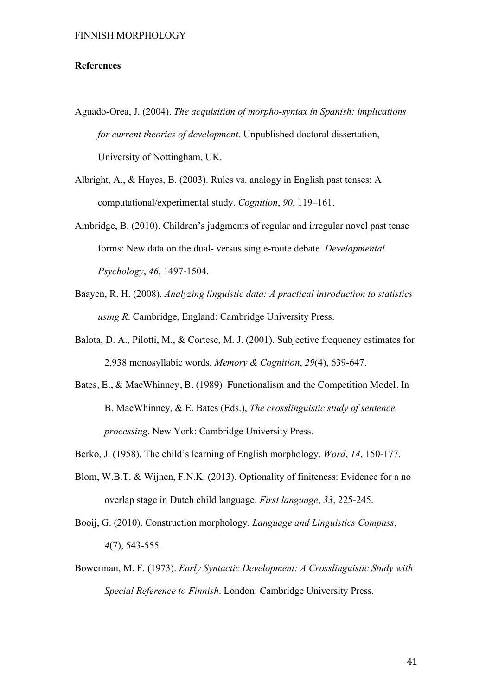### **References**

- Aguado-Orea, J. (2004). *The acquisition of morpho-syntax in Spanish: implications for current theories of development*. Unpublished doctoral dissertation, University of Nottingham, UK.
- Albright, A., & Hayes, B. (2003). Rules vs. analogy in English past tenses: A computational/experimental study. *Cognition*, *90*, 119–161.
- Ambridge, B. (2010). Children's judgments of regular and irregular novel past tense forms: New data on the dual- versus single-route debate. *Developmental Psychology*, *46*, 1497-1504.
- Baayen, R. H. (2008). *Analyzing linguistic data: A practical introduction to statistics using R*. Cambridge, England: Cambridge University Press.
- Balota, D. A., Pilotti, M., & Cortese, M. J. (2001). Subjective frequency estimates for 2,938 monosyllabic words. *Memory & Cognition*, *29*(4), 639-647.
- Bates, E., & MacWhinney, B. (1989). Functionalism and the Competition Model. In B. MacWhinney, & E. Bates (Eds.), *The crosslinguistic study of sentence processing*. New York: Cambridge University Press.
- Berko, J. (1958). The child's learning of English morphology. *Word*, *14*, 150-177.
- Blom, W.B.T. & Wijnen, F.N.K. (2013). Optionality of finiteness: Evidence for a no overlap stage in Dutch child language. *First language*, *33*, 225-245.
- Booij, G. (2010). Construction morphology. *Language and Linguistics Compass*, *4*(7), 543-555.
- Bowerman, M. F. (1973). *Early Syntactic Development: A Crosslinguistic Study with Special Reference to Finnish*. London: Cambridge University Press.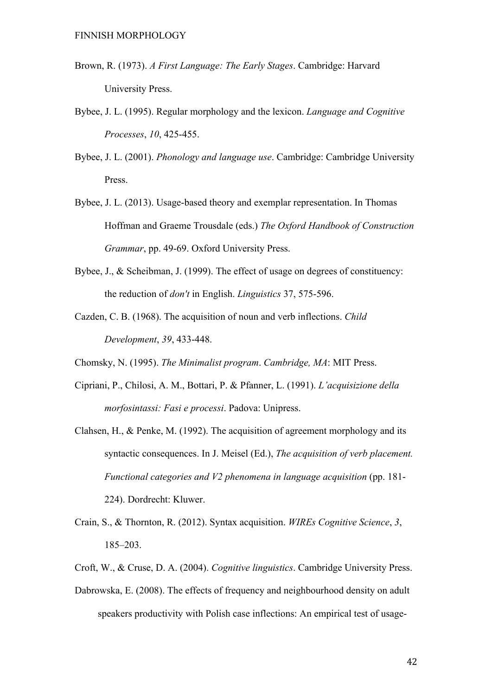- Brown, R. (1973). *A First Language: The Early Stages*. Cambridge: Harvard University Press.
- Bybee, J. L. (1995). Regular morphology and the lexicon. *Language and Cognitive Processes*, *10*, 425-455.
- Bybee, J. L. (2001). *Phonology and language use*. Cambridge: Cambridge University Press.
- Bybee, J. L. (2013). Usage-based theory and exemplar representation. In Thomas Hoffman and Graeme Trousdale (eds.) *The Oxford Handbook of Construction Grammar*, pp. 49-69. Oxford University Press.
- Bybee, J., & Scheibman, J. (1999). The effect of usage on degrees of constituency: the reduction of *don't* in English. *Linguistics* 37, 575-596.
- Cazden, C. B. (1968). The acquisition of noun and verb inflections. *Child Development*, *39*, 433-448.
- Chomsky, N. (1995). *The Minimalist program*. *Cambridge, MA*: MIT Press.
- Cipriani, P., Chilosi, A. M., Bottari, P. & Pfanner, L. (1991). *L'acquisizione della morfosintassi: Fasi e processi*. Padova: Unipress.
- Clahsen, H., & Penke, M. (1992). The acquisition of agreement morphology and its syntactic consequences. In J. Meisel (Ed.), *The acquisition of verb placement. Functional categories and V2 phenomena in language acquisition* (pp. 181- 224). Dordrecht: Kluwer.
- Crain, S., & Thornton, R. (2012). Syntax acquisition. *WIREs Cognitive Science*, *3*, 185–203.
- Croft, W., & Cruse, D. A. (2004). *Cognitive linguistics*. Cambridge University Press.
- Dabrowska, E. (2008). The effects of frequency and neighbourhood density on adult speakers productivity with Polish case inflections: An empirical test of usage-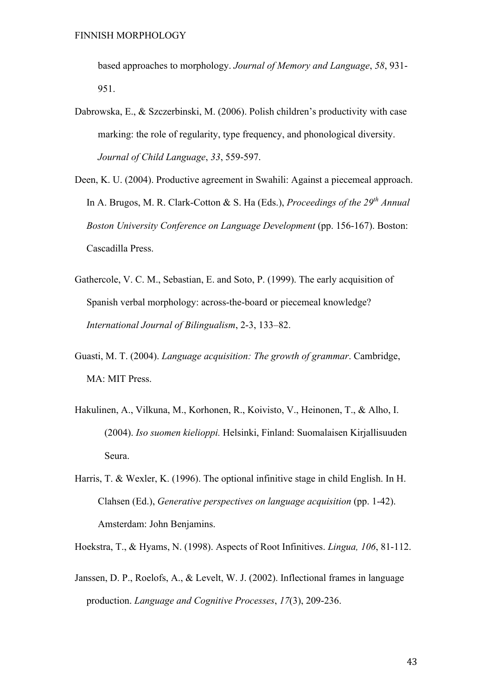based approaches to morphology. *Journal of Memory and Language*, *58*, 931- 951.

- Dabrowska, E., & Szczerbinski, M. (2006). Polish children's productivity with case marking: the role of regularity, type frequency, and phonological diversity. *Journal of Child Language*, *33*, 559-597.
- Deen, K. U. (2004). Productive agreement in Swahili: Against a piecemeal approach. In A. Brugos, M. R. Clark-Cotton & S. Ha (Eds.), *Proceedings of the 29th Annual Boston University Conference on Language Development* (pp. 156-167). Boston: Cascadilla Press.
- Gathercole, V. C. M., Sebastian, E. and Soto, P. (1999). The early acquisition of Spanish verbal morphology: across-the-board or piecemeal knowledge? *International Journal of Bilingualism*, 2-3, 133–82.
- Guasti, M. T. (2004). *Language acquisition: The growth of grammar*. Cambridge, MA: MIT Press.
- Hakulinen, A., Vilkuna, M., Korhonen, R., Koivisto, V., Heinonen, T., & Alho, I. (2004). *Iso suomen kielioppi.* Helsinki, Finland: Suomalaisen Kirjallisuuden Seura.
- Harris, T. & Wexler, K. (1996). The optional infinitive stage in child English. In H. Clahsen (Ed.), *Generative perspectives on language acquisition* (pp. 1-42). Amsterdam: John Benjamins.
- Hoekstra, T., & Hyams, N. (1998). Aspects of Root Infinitives. *Lingua, 106*, 81-112.
- Janssen, D. P., Roelofs, A., & Levelt, W. J. (2002). Inflectional frames in language production. *Language and Cognitive Processes*, *17*(3), 209-236.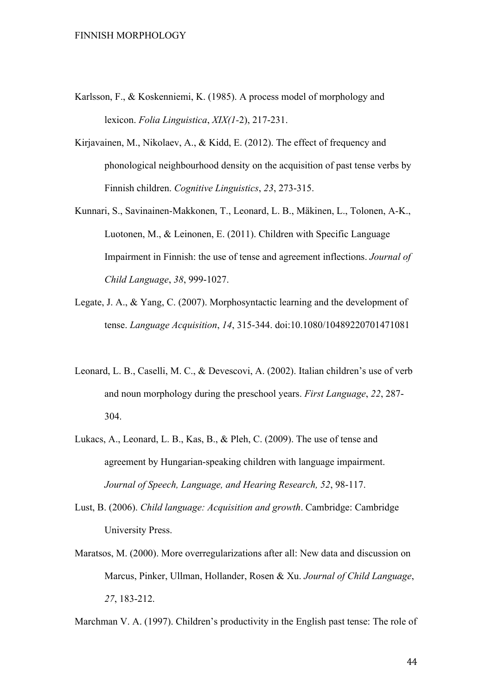- Karlsson, F., & Koskenniemi, K. (1985). A process model of morphology and lexicon. *Folia Linguistica*, *XIX(1-*2), 217-231.
- Kirjavainen, M., Nikolaev, A., & Kidd, E. (2012). The effect of frequency and phonological neighbourhood density on the acquisition of past tense verbs by Finnish children. *Cognitive Linguistics*, *23*, 273-315.
- Kunnari, S., Savinainen-Makkonen, T., Leonard, L. B., Mäkinen, L., Tolonen, A-K., Luotonen, M., & Leinonen, E. (2011). Children with Specific Language Impairment in Finnish: the use of tense and agreement inflections. *Journal of Child Language*, *38*, 999-1027.
- Legate, J. A., & Yang, C. (2007). Morphosyntactic learning and the development of tense. *Language Acquisition*, *14*, 315-344. doi:10.1080/10489220701471081
- Leonard, L. B., Caselli, M. C., & Devescovi, A. (2002). Italian children's use of verb and noun morphology during the preschool years. *First Language*, *22*, 287- 304.
- Lukacs, A., Leonard, L. B., Kas, B., & Pleh, C. (2009). The use of tense and agreement by Hungarian-speaking children with language impairment. *Journal of Speech, Language, and Hearing Research, 52*, 98-117.
- Lust, B. (2006). *Child language: Acquisition and growth*. Cambridge: Cambridge University Press.
- Maratsos, M. (2000). More overregularizations after all: New data and discussion on Marcus, Pinker, Ullman, Hollander, Rosen & Xu. *Journal of Child Language*, *27*, 183-212.

Marchman V. A. (1997). Children's productivity in the English past tense: The role of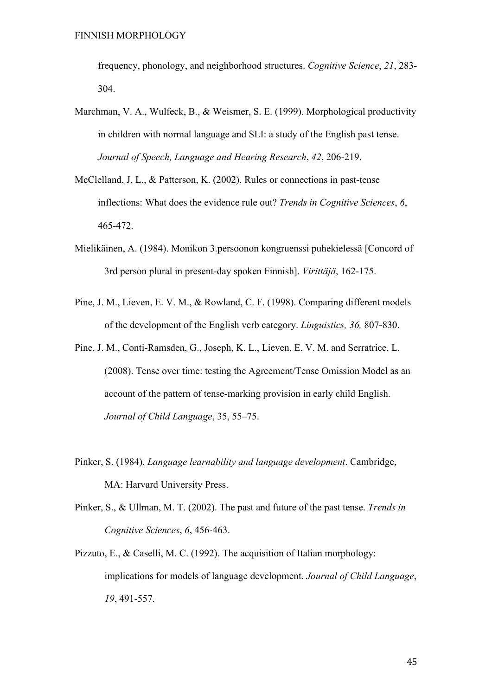frequency, phonology, and neighborhood structures. *Cognitive Science*, *21*, 283- 304.

- Marchman, V. A., Wulfeck, B., & Weismer, S. E. (1999). Morphological productivity in children with normal language and SLI: a study of the English past tense. *Journal of Speech, Language and Hearing Research*, *42*, 206-219.
- McClelland, J. L., & Patterson, K. (2002). Rules or connections in past-tense inflections: What does the evidence rule out? *Trends in Cognitive Sciences*, *6*, 465-472.
- Mielikäinen, A. (1984). Monikon 3.persoonon kongruenssi puhekielessä [Concord of 3rd person plural in present-day spoken Finnish]. *Virittäjä*, 162-175.
- Pine, J. M., Lieven, E. V. M., & Rowland, C. F. (1998). Comparing different models of the development of the English verb category. *Linguistics, 36,* 807-830.
- Pine, J. M., Conti-Ramsden, G., Joseph, K. L., Lieven, E. V. M. and Serratrice, L. (2008). Tense over time: testing the Agreement/Tense Omission Model as an account of the pattern of tense-marking provision in early child English. *Journal of Child Language*, 35, 55–75.
- Pinker, S. (1984). *Language learnability and language development*. Cambridge, MA: Harvard University Press.
- Pinker, S., & Ullman, M. T. (2002). The past and future of the past tense. *Trends in Cognitive Sciences*, *6*, 456-463.
- Pizzuto, E., & Caselli, M. C. (1992). The acquisition of Italian morphology: implications for models of language development. *Journal of Child Language*, *19*, 491-557.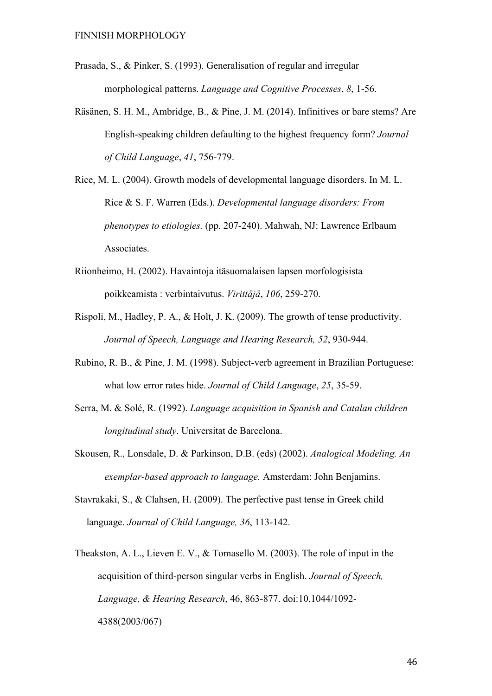- Prasada, S., & Pinker, S. (1993). Generalisation of regular and irregular morphological patterns. *Language and Cognitive Processes*, *8*, 1-56.
- Räsänen, S. H. M., Ambridge, B., & Pine, J. M. (2014). Infinitives or bare stems? Are English-speaking children defaulting to the highest frequency form? *Journal of Child Language*, *41*, 756-779.
- Rice, M. L. (2004). Growth models of developmental language disorders. In M. L. Rice & S. F. Warren (Eds.). *Developmental language disorders: From phenotypes to etiologies.* (pp. 207-240). Mahwah, NJ: Lawrence Erlbaum Associates.
- Riionheimo, H. (2002). Havaintoja itäsuomalaisen lapsen morfologisista poikkeamista : verbintaivutus. *Virittäjä*, *106*, 259-270.
- Rispoli, M., Hadley, P. A., & Holt, J. K. (2009). The growth of tense productivity. *Journal of Speech, Language and Hearing Research, 52*, 930-944.
- Rubino, R. B., & Pine, J. M. (1998). Subject-verb agreement in Brazilian Portuguese: what low error rates hide. *Journal of Child Language*, *25*, 35-59.
- Serra, M. & Solé, R. (1992). *Language acquisition in Spanish and Catalan children longitudinal study*. Universitat de Barcelona.
- Skousen, R., Lonsdale, D. & Parkinson, D.B. (eds) (2002). *Analogical Modeling. An exemplar-based approach to language.* Amsterdam: John Benjamins.
- Stavrakaki, S., & Clahsen, H. (2009). The perfective past tense in Greek child language. *Journal of Child Language, 36*, 113-142.
- Theakston, A. L., Lieven E. V., & Tomasello M. (2003). The role of input in the acquisition of third-person singular verbs in English. *Journal of Speech, Language, & Hearing Research*, 46, 863-877. doi:10.1044/1092- 4388(2003/067)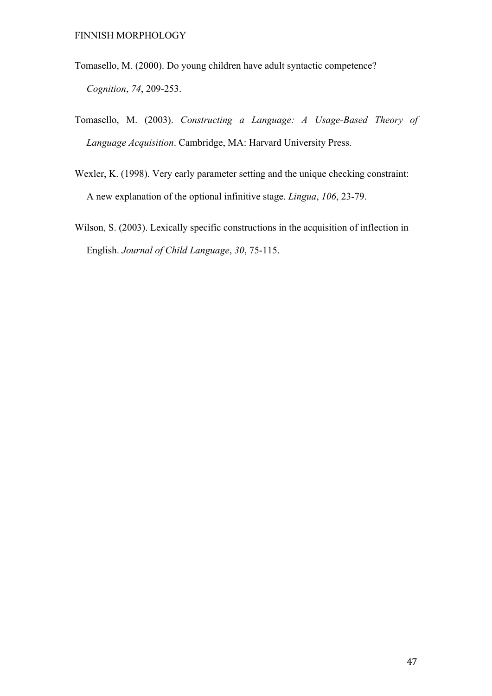- Tomasello, M. (2000). Do young children have adult syntactic competence? *Cognition*, *74*, 209-253.
- Tomasello, M. (2003). *Constructing a Language: A Usage-Based Theory of Language Acquisition*. Cambridge, MA: Harvard University Press.
- Wexler, K. (1998). Very early parameter setting and the unique checking constraint: A new explanation of the optional infinitive stage. *Lingua*, *106*, 23-79.
- Wilson, S. (2003). Lexically specific constructions in the acquisition of inflection in English. *Journal of Child Language*, *30*, 75-115.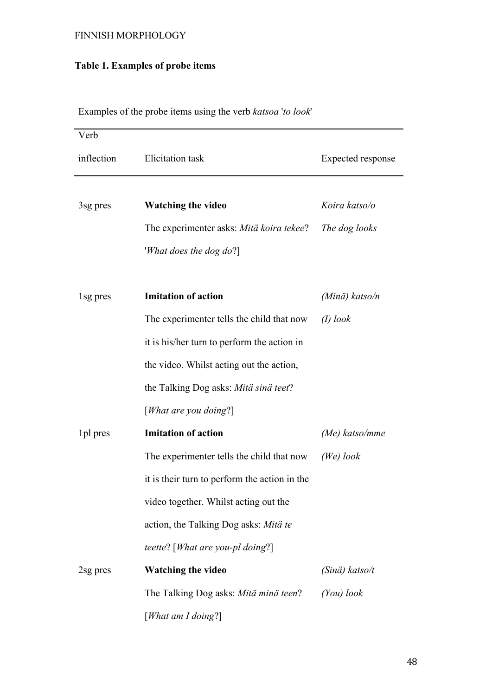# **Table 1. Examples of probe items**

| Verb       |                                               |                         |
|------------|-----------------------------------------------|-------------------------|
| inflection | <b>Elicitation</b> task                       | Expected response       |
|            |                                               |                         |
| 3sg pres   | <b>Watching the video</b>                     | Koira katso/o           |
|            | The experimenter asks: Mitä koira tekee?      | The dog looks           |
|            | 'What does the dog do?]                       |                         |
|            |                                               |                         |
| 1sg pres   | <b>Imitation of action</b>                    | (Minä) katso/n          |
|            | The experimenter tells the child that now     | $(I)$ look              |
|            | it is his/her turn to perform the action in   |                         |
|            | the video. Whilst acting out the action,      |                         |
|            | the Talking Dog asks: Mitä sinä teet?         |                         |
|            | [What are you doing?]                         |                         |
| 1pl pres   | <b>Imitation of action</b>                    | $(Me)$ katso/mme        |
|            | The experimenter tells the child that now     | (We) look               |
|            | it is their turn to perform the action in the |                         |
|            | video together. Whilst acting out the         |                         |
|            | action, the Talking Dog asks: Mitä te         |                         |
|            | teette? [What are you-pl doing?]              |                         |
| 2sg pres   | <b>Watching the video</b>                     | $(Sin\ddot{a})$ katso/t |
|            | The Talking Dog asks: Mitä minä teen?         | $(You)$ look            |
|            | [What am I doing?]                            |                         |

Examples of the probe items using the verb *katsoa* '*to look*'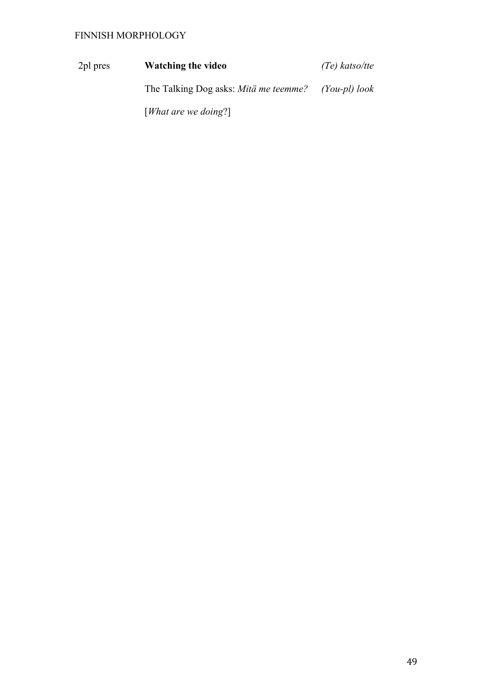2pl pres **Watching the video** *(Te) katso/tte* The Talking Dog asks: *Mitä me teemme?* [*What are we doing*?] *(You-pl) look*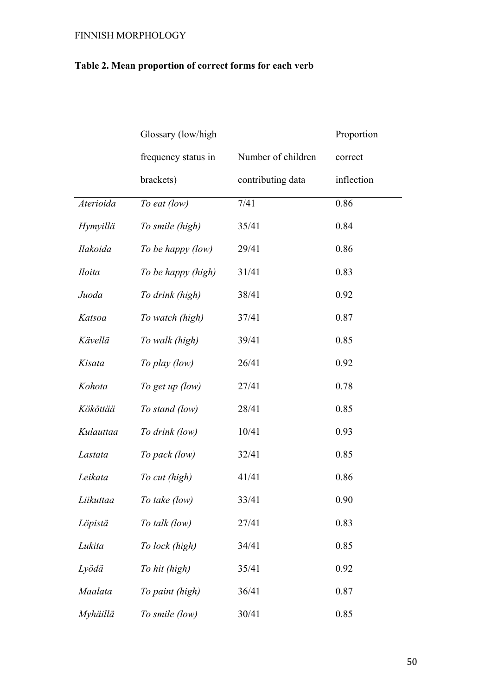# **Table 2. Mean proportion of correct forms for each verb**

|                 | Glossary (low/high  |                    | Proportion |
|-----------------|---------------------|--------------------|------------|
|                 | frequency status in | Number of children | correct    |
|                 | brackets)           | contributing data  | inflection |
| Aterioida       | To eat (low)        | 7/41               | 0.86       |
| <b>Hymyillä</b> | To smile (high)     | 35/41              | 0.84       |
| Ilakoida        | To be happy (low)   | 29/41              | 0.86       |
| <i>Iloita</i>   | To be happy (high)  | 31/41              | 0.83       |
| Juoda           | To drink (high)     | 38/41              | 0.92       |
| Katsoa          | To watch (high)     | 37/41              | 0.87       |
| Kävellä         | To walk (high)      | 39/41              | 0.85       |
| Kisata          | To play (low)       | 26/41              | 0.92       |
| Kohota          | To get up (low)     | 27/41              | 0.78       |
| Kököttää        | To stand (low)      | 28/41              | 0.85       |
| Kulauttaa       | To drink (low)      | 10/41              | 0.93       |
| Lastata         | To pack (low)       | 32/41              | 0.85       |
| Leikata         | To cut (high)       | 41/41              | 0.86       |
| Liikuttaa       | To take (low)       | 33/41              | 0.90       |
| Löpistä         | To talk (low)       | 27/41              | 0.83       |
| Lukita          | To lock (high)      | 34/41              | 0.85       |
| Lyödä           | To hit (high)       | 35/41              | 0.92       |
| Maalata         | To paint (high)     | 36/41              | 0.87       |
| Myhäillä        | To smile (low)      | 30/41              | 0.85       |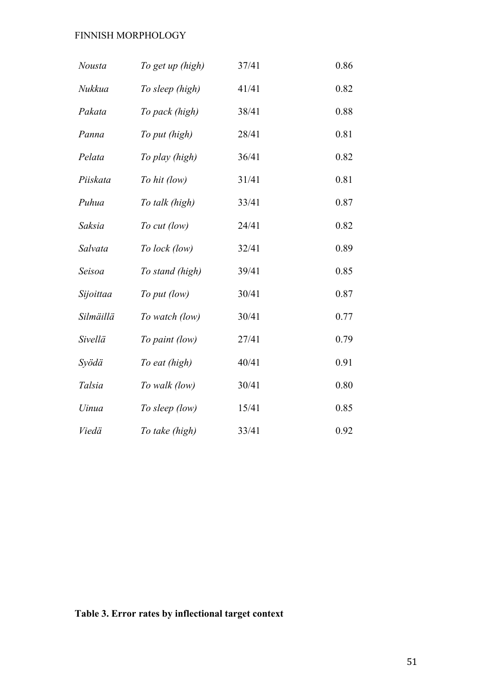| <b>Nousta</b> | To get up (high) | 37/41 | 0.86 |
|---------------|------------------|-------|------|
| Nukkua        | To sleep (high)  | 41/41 | 0.82 |
| Pakata        | To pack (high)   | 38/41 | 0.88 |
| Panna         | To put (high)    | 28/41 | 0.81 |
| Pelata        | To play (high)   | 36/41 | 0.82 |
| Piiskata      | To hit (low)     | 31/41 | 0.81 |
| Puhua         | To talk (high)   | 33/41 | 0.87 |
| Saksia        | To cut (low)     | 24/41 | 0.82 |
| Salvata       | To lock (low)    | 32/41 | 0.89 |
| Seisoa        | To stand (high)  | 39/41 | 0.85 |
| Sijoittaa     | To put (low)     | 30/41 | 0.87 |
| Silmäillä     | To watch (low)   | 30/41 | 0.77 |
| Sivellä       | To paint (low)   | 27/41 | 0.79 |
| Syödä         | To eat (high)    | 40/41 | 0.91 |
| Talsia        | To walk (low)    | 30/41 | 0.80 |
| Uinua         | To sleep (low)   | 15/41 | 0.85 |
| Viedä         | To take (high)   | 33/41 | 0.92 |

# **Table 3. Error rates by inflectional target context**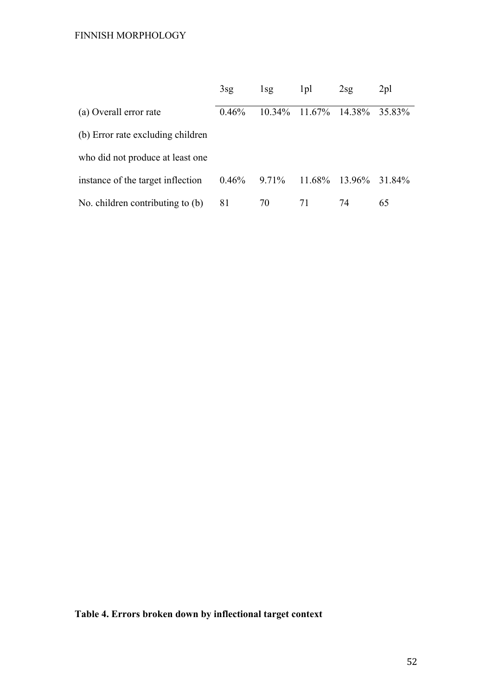|                                   | 3sg   | $1$ sg    | 1pl       | 2sg           | $2\text{pl}$ |
|-----------------------------------|-------|-----------|-----------|---------------|--------------|
| (a) Overall error rate            | 0.46% | $10.34\%$ | $11.67\%$ | 14.38% 35.83% |              |
| (b) Error rate excluding children |       |           |           |               |              |
| who did not produce at least one  |       |           |           |               |              |
| instance of the target inflection | 0.46% | $9.71\%$  | 11.68%    | 13.96%        | 31 84%       |
| No. children contributing to (b)  | 81    | 70        | 71        | 74            | 65           |

**Table 4. Errors broken down by inflectional target context**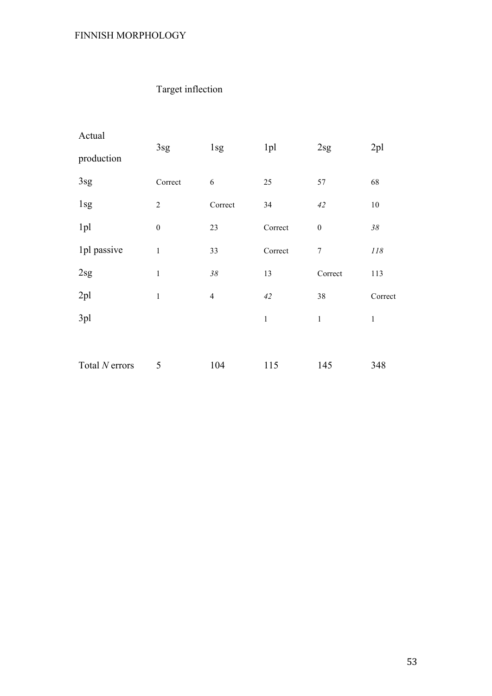# Target inflection

| Actual         |                  |                |                 |                  |              |  |
|----------------|------------------|----------------|-----------------|------------------|--------------|--|
| production     | 3sg              | 1sg            | 1 <sub>pl</sub> | 2sg              | 2pl          |  |
| 3sg            | Correct          | 6              | 25              | 57               | 68           |  |
| 1sg            | $\boldsymbol{2}$ | Correct        | 34              | 42               | $10\,$       |  |
| 1pl            | $\boldsymbol{0}$ | 23             | Correct         | $\boldsymbol{0}$ | $38\,$       |  |
| 1pl passive    | $\mathbf{1}$     | 33             | Correct         | $\boldsymbol{7}$ | $\it 118$    |  |
| 2sg            | $\mathbf{1}$     | $38\,$         | 13              | Correct          | 113          |  |
| 2pl            | $\mathbf{1}$     | $\overline{4}$ | 42              | 38               | Correct      |  |
| 3pl            |                  |                | $\mathbf 1$     | $\mathbf{1}$     | $\mathbf{1}$ |  |
|                |                  |                |                 |                  |              |  |
| Total N errors | 5                | 104            | 115             | 145              | 348          |  |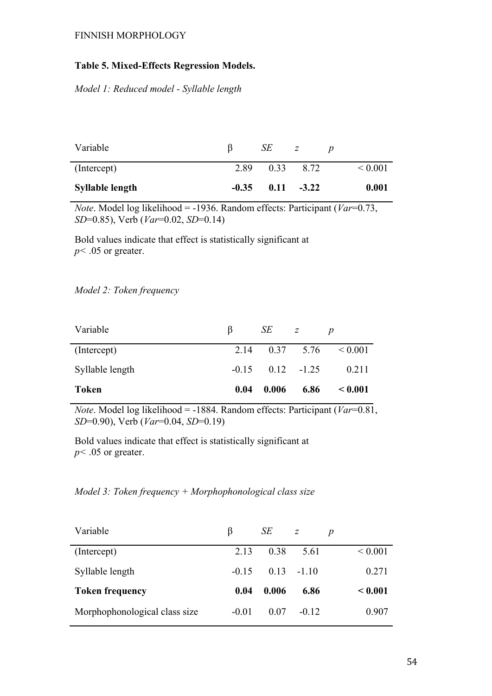# **Table 5. Mixed-Effects Regression Models.**

*Model 1: Reduced model - Syllable length* 

| Variable               |         | SЕ   |         |                   |
|------------------------|---------|------|---------|-------------------|
| (Intercept)            | 2.89    | 0.33 | 8.72    | ${}_{\leq 0.001}$ |
| <b>Syllable length</b> | $-0.35$ | 0.11 | $-3.22$ | 0.001             |

*Note*. Model log likelihood = -1936. Random effects: Participant (*Var*=0.73, *SD*=0.85), Verb (*Var*=0.02, *SD*=0.14)

Bold values indicate that effect is statistically significant at  $p$  < .05 or greater.

# *Model 2: Token frequency*

| Variable        | B    | SE —                   | Z    |                               |
|-----------------|------|------------------------|------|-------------------------------|
| (Intercept)     |      |                        |      | 2.14 $0.37$ 5.76 $\leq 0.001$ |
| Syllable length |      | $-0.15$ $0.12$ $-1.25$ |      | 0.211                         |
| <b>Token</b>    | 0.04 | 0.006                  | 6.86 | $\leq 0.001$                  |

*Note*. Model log likelihood = -1884. Random effects: Participant ( $Var=0.81$ , *SD*=0.90), Verb (*Var*=0.04, *SD*=0.19)

Bold values indicate that effect is statistically significant at  $p$  < .05 or greater.

| Model 3: Token frequency + Morphophonological class size |  |  |  |  |  |
|----------------------------------------------------------|--|--|--|--|--|
|----------------------------------------------------------|--|--|--|--|--|

| Variable                      | β       | SЕ    | z       | p                 |
|-------------------------------|---------|-------|---------|-------------------|
| (Intercept)                   | 2.13    | 0.38  | 5.61    | ${}_{0.001}$      |
| Syllable length               | $-0.15$ | 0.13  | $-110$  | 0.271             |
| <b>Token frequency</b>        | 0.04    | 0.006 | 6.86    | ${}_{\leq 0.001}$ |
| Morphophonological class size | $-0.01$ | 0.07  | $-0.12$ | 0.907             |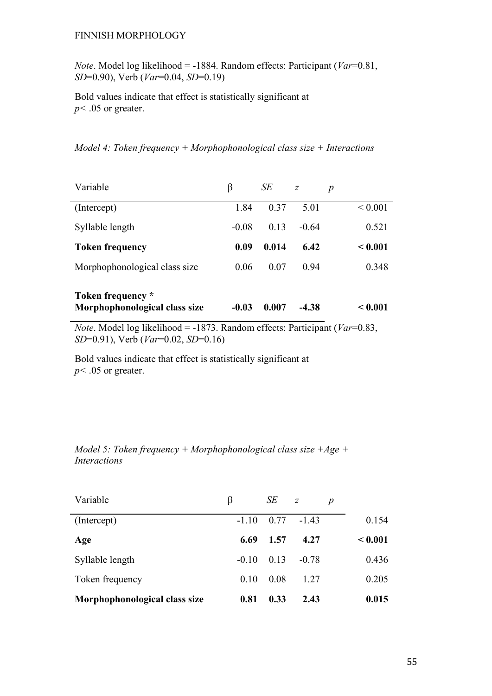*Note*. Model log likelihood = -1884. Random effects: Participant (*Var*=0.81, *SD*=0.90), Verb (*Var*=0.04, *SD*=0.19)

Bold values indicate that effect is statistically significant at  $p$  < .05 or greater.

*Model 4: Token frequency + Morphophonological class size + Interactions*

| Variable                                           | β       | SE    | $\overline{z}$ | $\boldsymbol{p}$ |
|----------------------------------------------------|---------|-------|----------------|------------------|
| (Intercept)                                        | 1.84    | 0.37  | 5 01           | ${}_{0.001}$     |
| Syllable length                                    | $-0.08$ | 0.13  | $-0.64$        | 0.521            |
| <b>Token frequency</b>                             | 0.09    | 0.014 | 6.42           | < 0.001          |
| Morphophonological class size                      | 0.06    | 0.07  | 0.94           | 0.348            |
| Token frequency *<br>Morphophonological class size | $-0.03$ | 0.007 | $-4.38$        | < 0.001          |

*Note*. Model log likelihood = -1873. Random effects: Participant (*Var*=0.83, *SD*=0.91), Verb (*Var*=0.02, *SD*=0.16)

Bold values indicate that effect is statistically significant at  $p$  < .05 or greater.

| Model 5: Token frequency + Morphophonological class size $+Age +$ |  |  |
|-------------------------------------------------------------------|--|--|
| <i>Interactions</i>                                               |  |  |

| Variable                      | β       | SE   | $\overline{z}$ | $\boldsymbol{p}$ |         |
|-------------------------------|---------|------|----------------|------------------|---------|
| (Intercept)                   | $-110$  | 0.77 | $-1.43$        |                  | 0.154   |
| Age                           | 6.69    | 1.57 | 4.27           |                  | < 0.001 |
| Syllable length               | $-0.10$ | 0.13 | $-0.78$        |                  | 0.436   |
| Token frequency               | 0.10    | 0.08 | 1 27           |                  | 0.205   |
| Morphophonological class size | 0.81    | 0.33 | 2.43           |                  | 0.015   |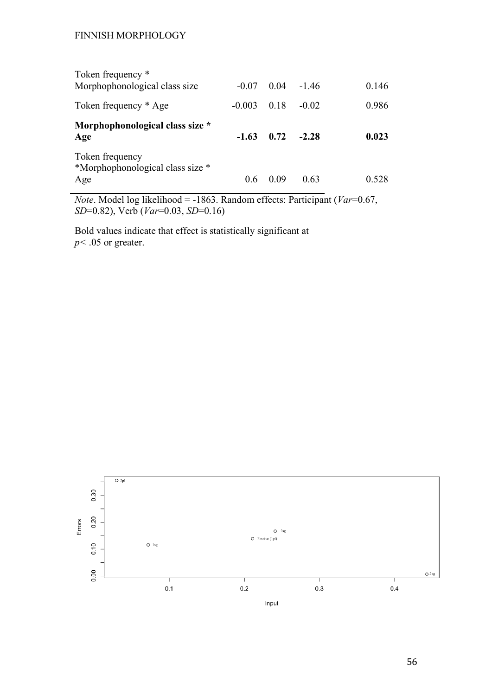| Token frequency *                       |          |       |         |       |
|-----------------------------------------|----------|-------|---------|-------|
| Morphophonological class size           | $-0.07$  | 0.04  | $-146$  | 0.146 |
| Token frequency * Age                   | $-0.003$ | 0.18  | $-0.02$ | 0.986 |
| Morphophonological class size *         |          |       |         |       |
| Age                                     | $-1.63$  | 0.72  | $-2.28$ | 0.023 |
|                                         |          |       |         |       |
| Token frequency                         |          |       |         |       |
| *Morphophonological class size *<br>Age | 0.6      | (109) | 0.63    | 0.528 |

*Note*. Model log likelihood = -1863. Random effects: Participant (*Var*=0.67, *SD*=0.82), Verb (*Var*=0.03, *SD*=0.16)

Bold values indicate that effect is statistically significant at  $p$  < .05 or greater.

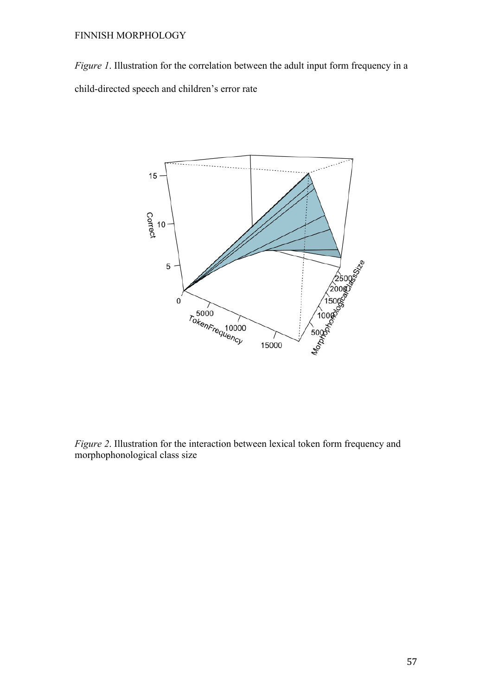*Figure 1*. Illustration for the correlation between the adult input form frequency in a child-directed speech and children's error rate



*Figure 2*. Illustration for the interaction between lexical token form frequency and morphophonological class size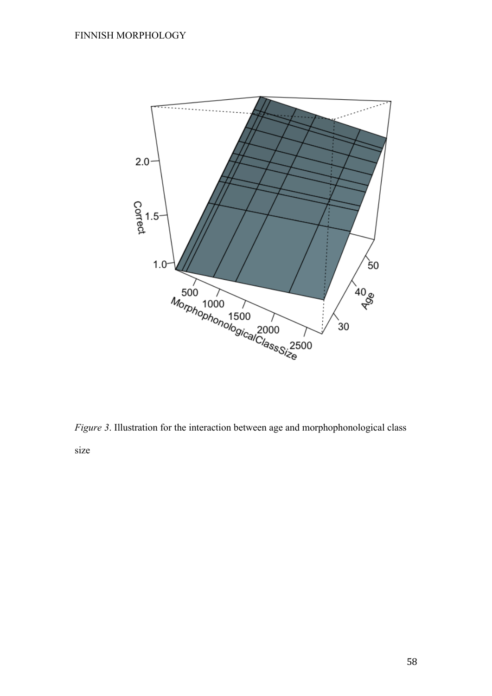

*Figure 3*. Illustration for the interaction between age and morphophonological class size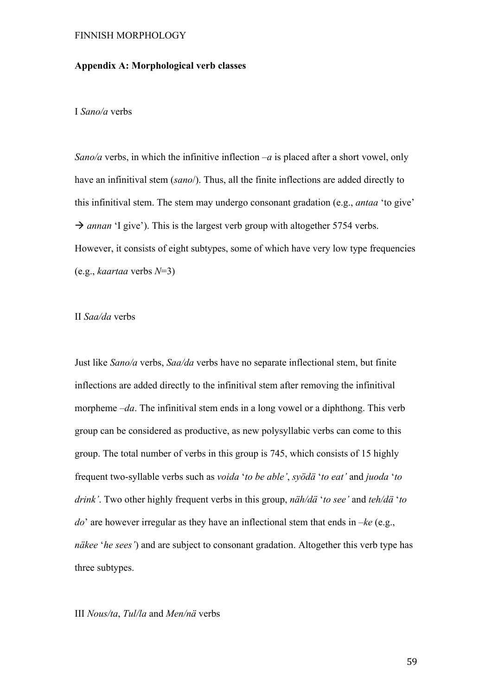# **Appendix A: Morphological verb classes**

#### I *Sano/a* verbs

*Sano/a* verbs, in which the infinitive inflection –*a* is placed after a short vowel, only have an infinitival stem (*sano*/). Thus, all the finite inflections are added directly to this infinitival stem. The stem may undergo consonant gradation (e.g., *antaa* 'to give'  $\rightarrow$  *annan* 'I give'). This is the largest verb group with altogether 5754 verbs. However, it consists of eight subtypes, some of which have very low type frequencies (e.g., *kaartaa* verbs *N*=3)

## II *Saa/da* verbs

Just like *Sano/a* verbs, *Saa/da* verbs have no separate inflectional stem, but finite inflections are added directly to the infinitival stem after removing the infinitival morpheme –*da*. The infinitival stem ends in a long vowel or a diphthong. This verb group can be considered as productive, as new polysyllabic verbs can come to this group. The total number of verbs in this group is 745, which consists of 15 highly frequent two-syllable verbs such as *voida* '*to be able'*, *syödä* '*to eat'* and *juoda* '*to drink'*. Two other highly frequent verbs in this group, *näh/dä* '*to see'* and *teh/dä* '*to do*' are however irregular as they have an inflectional stem that ends in –*ke* (e.g., *näkee* '*he sees'*) and are subject to consonant gradation. Altogether this verb type has three subtypes.

# III *Nous/ta*, *Tul/la* and *Men/nä* verbs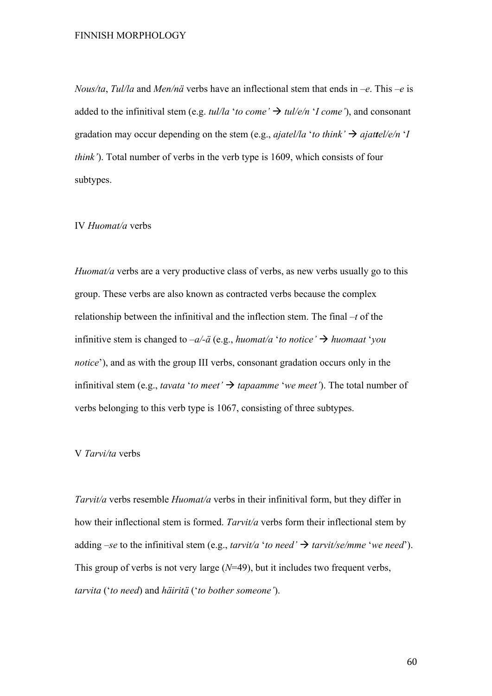*Nous/ta*, *Tul/la* and *Men/nä* verbs have an inflectional stem that ends in –*e*. This –*e* is added to the infinitival stem (e.g. *tul/la 'to come'*  $\rightarrow$  *tul/e/n 'I come'*), and consonant gradation may occur depending on the stem (e.g., *ajatel/la* '*to think'*  $\rightarrow$  *ajattel/e/n* '*I think'*). Total number of verbs in the verb type is 1609, which consists of four subtypes.

# IV *Huomat/a* verbs

*Huomat/a* verbs are a very productive class of verbs, as new verbs usually go to this group. These verbs are also known as contracted verbs because the complex relationship between the infinitival and the inflection stem. The final –*t* of the infinitive stem is changed to  $-a/-a$  (e.g., *huomat/a* '*to notice'*  $\rightarrow$  *huomaat* '*you notice*'), and as with the group III verbs, consonant gradation occurs only in the infinitival stem (e.g., *tavata 'to meet'*  $\rightarrow$  *tapaamme 'we meet'*). The total number of verbs belonging to this verb type is 1067, consisting of three subtypes.

### V *Tarvi/ta* verbs

*Tarvit/a* verbs resemble *Huomat/a* verbs in their infinitival form, but they differ in how their inflectional stem is formed. *Tarvit/a* verbs form their inflectional stem by adding –*se* to the infinitival stem (e.g., *tarvit/a* '*to need'*  $\rightarrow$  *tarvit/se/mme* '*we need'*). This group of verbs is not very large (*N*=49), but it includes two frequent verbs, *tarvita* ('*to need*) and *häiritä* ('*to bother someone'*).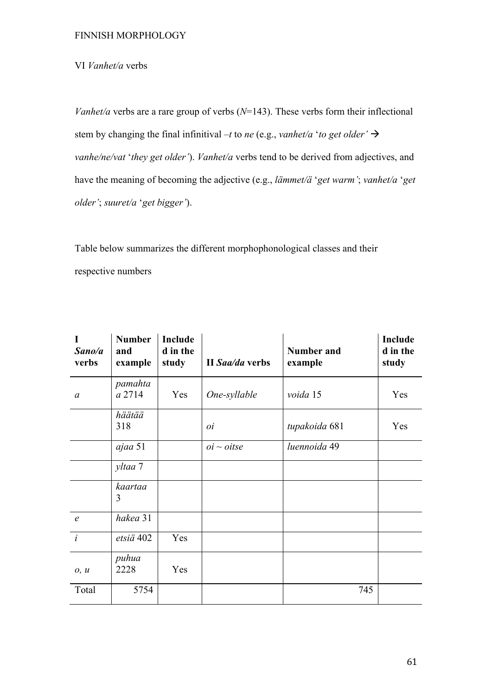# VI *Vanhet/a* verbs

*Vanhet/a* verbs are a rare group of verbs (*N*=143). These verbs form their inflectional stem by changing the final infinitival –*t* to *ne* (e.g., *vanhet/a* '*to get older'*  $\rightarrow$ *vanhe/ne/vat* '*they get older'*). *Vanhet/a* verbs tend to be derived from adjectives, and have the meaning of becoming the adjective (e.g., *lämmet/ä* '*get warm'*; *vanhet/a* '*get older'*; *suuret/a* '*get bigger'*).

Table below summarizes the different morphophonological classes and their respective numbers

| I<br>Sano/a<br>verbs | <b>Number</b><br>and<br>example | Include<br>d in the<br>study | II Saa/da verbs | <b>Number and</b><br>example | Include<br>d in the<br>study |
|----------------------|---------------------------------|------------------------------|-----------------|------------------------------|------------------------------|
| $\mathfrak a$        | pamahta<br>a 2714               | Yes                          | One-syllable    | voida 15                     | Yes                          |
|                      | häätää<br>318                   |                              | 0i              | tupakoida 681                | Yes                          |
|                      | ajaa 51                         |                              | $oi \sim oitse$ | luennoida 49                 |                              |
|                      | yltaa 7                         |                              |                 |                              |                              |
|                      | kaartaa<br>3                    |                              |                 |                              |                              |
| $\epsilon$           | hakea 31                        |                              |                 |                              |                              |
| $\dot{i}$            | etsiä 402                       | Yes                          |                 |                              |                              |
| 0, u                 | puhua<br>2228                   | Yes                          |                 |                              |                              |
| Total                | 5754                            |                              |                 | 745                          |                              |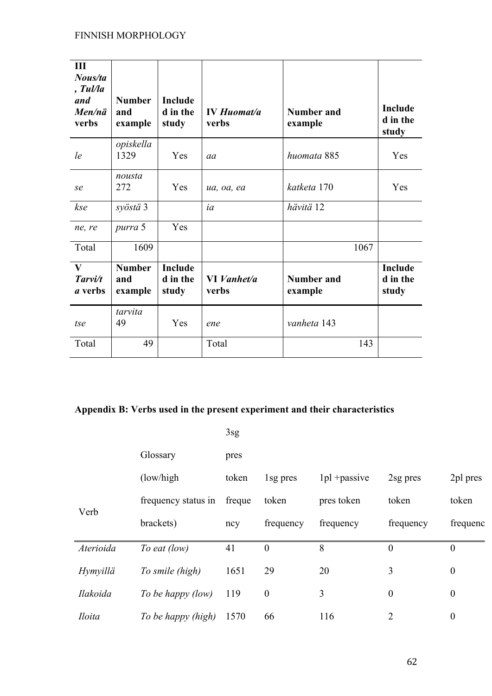| III<br>Nous/ta<br>, Tul/la<br>and<br>Men/nä<br>verbs | <b>Number</b><br>and<br>example | <b>Include</b><br>d in the<br>study | <b>IV Huomat/a</b><br>verbs | <b>Number and</b><br>example | <b>Include</b><br>d in the<br>study |
|------------------------------------------------------|---------------------------------|-------------------------------------|-----------------------------|------------------------------|-------------------------------------|
| le                                                   | opiskella<br>1329               | Yes                                 | aa                          | huomata 885                  | Yes                                 |
| se                                                   | nousta<br>272                   | Yes                                 | ua, oa, ea                  | katketa 170                  | Yes                                 |
| kse                                                  | syöstä 3                        |                                     | ia                          | hävitä 12                    |                                     |
| ne, re                                               | purra 5                         | Yes                                 |                             |                              |                                     |
| Total                                                | 1609                            |                                     |                             | 1067                         |                                     |
| $\mathbf{V}$<br>Tarvi/t<br><i>a</i> verbs            | <b>Number</b><br>and<br>example | <b>Include</b><br>d in the<br>study | VI Vanhet/a<br>verbs        | <b>Number and</b><br>example | Include<br>d in the<br>study        |
| tse                                                  | tarvita<br>49                   | Yes                                 | ene                         | vanheta 143                  |                                     |
| Total                                                | 49                              |                                     | Total                       | 143                          |                                     |

# **Appendix B: Verbs used in the present experiment and their characteristics**

|                 |                     | 3sg    |                  |                 |                  |                  |
|-----------------|---------------------|--------|------------------|-----------------|------------------|------------------|
|                 | Glossary            | pres   |                  |                 |                  |                  |
|                 | (low/high)          | token  | 1sg pres         | $1pl$ + passive | 2sg pres         | 2pl pres         |
| Verb            | frequency status in | freque | token            | pres token      | token            | token            |
|                 | brackets)           | ncy    | frequency        | frequency       | frequency        | frequenc         |
| Aterioida       | To eat (low)        | 41     | $\overline{0}$   | 8               | $\theta$         | $\boldsymbol{0}$ |
| <b>Hymyillä</b> | To smile (high)     | 1651   | 29               | 20              | 3                | $\boldsymbol{0}$ |
| Ilakoida        | To be happy (low)   | 119    | $\boldsymbol{0}$ | 3               | $\boldsymbol{0}$ | $\boldsymbol{0}$ |
| <i>Iloita</i>   | To be happy (high)  | 1570   | 66               | 116             | $\overline{2}$   | $\boldsymbol{0}$ |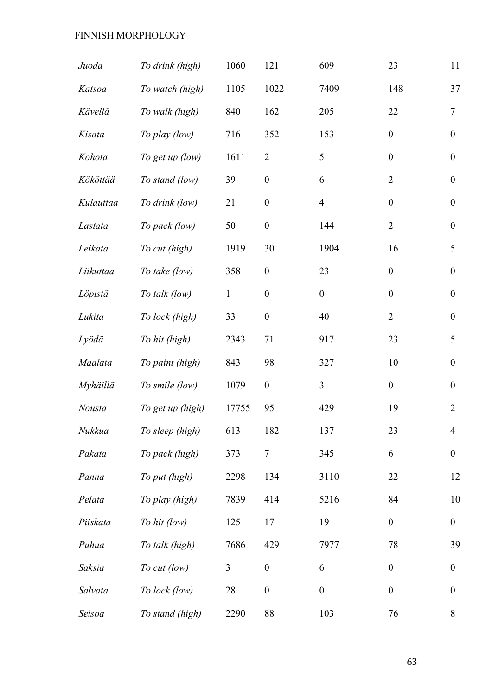| Juoda         | To drink (high)  | 1060           | 121              | 609              | 23               | 11               |
|---------------|------------------|----------------|------------------|------------------|------------------|------------------|
| Katsoa        | To watch (high)  | 1105           | 1022             | 7409             | 148              | 37               |
| Kävellä       | To walk (high)   | 840            | 162              | 205              | 22               | $\overline{7}$   |
| Kisata        | To play (low)    | 716            | 352              | 153              | $\boldsymbol{0}$ | $\boldsymbol{0}$ |
| Kohota        | To get up (low)  | 1611           | $\overline{2}$   | 5                | $\boldsymbol{0}$ | $\boldsymbol{0}$ |
| Kököttää      | To stand (low)   | 39             | $\boldsymbol{0}$ | 6                | $\overline{2}$   | $\boldsymbol{0}$ |
| Kulauttaa     | To drink (low)   | 21             | $\boldsymbol{0}$ | $\overline{4}$   | $\boldsymbol{0}$ | $\boldsymbol{0}$ |
| Lastata       | To pack (low)    | 50             | $\boldsymbol{0}$ | 144              | $\overline{2}$   | $\boldsymbol{0}$ |
| Leikata       | To cut (high)    | 1919           | 30               | 1904             | 16               | 5                |
| Liikuttaa     | To take (low)    | 358            | $\boldsymbol{0}$ | 23               | $\boldsymbol{0}$ | $\boldsymbol{0}$ |
| Löpistä       | To talk (low)    | $\mathbf{1}$   | $\boldsymbol{0}$ | $\boldsymbol{0}$ | $\boldsymbol{0}$ | $\boldsymbol{0}$ |
| Lukita        | To lock (high)   | 33             | $\boldsymbol{0}$ | 40               | $\overline{2}$   | $\boldsymbol{0}$ |
| Lyödä         | To hit (high)    | 2343           | 71               | 917              | 23               | 5                |
| Maalata       | To paint (high)  | 843            | 98               | 327              | 10               | $\boldsymbol{0}$ |
| Myhäillä      | To smile (low)   | 1079           | $\boldsymbol{0}$ | $\overline{3}$   | $\overline{0}$   | $\boldsymbol{0}$ |
| <b>Nousta</b> | To get up (high) | 17755          | 95               | 429              | 19               | $\overline{2}$   |
| Nukkua        | To sleep (high)  | 613            | 182              | 137              | 23               | $\overline{4}$   |
| Pakata        | To pack (high)   | 373            | $\tau$           | 345              | 6                | $\boldsymbol{0}$ |
| Panna         | To put (high)    | 2298           | 134              | 3110             | 22               | 12               |
| Pelata        | To play (high)   | 7839           | 414              | 5216             | 84               | 10               |
| Piiskata      | To hit (low)     | 125            | 17               | 19               | $\boldsymbol{0}$ | $\boldsymbol{0}$ |
| Puhua         | To talk (high)   | 7686           | 429              | 7977             | 78               | 39               |
| Saksia        | To cut (low)     | $\mathfrak{Z}$ | $\boldsymbol{0}$ | 6                | $\boldsymbol{0}$ | $\boldsymbol{0}$ |
| Salvata       | To lock (low)    | 28             | $\boldsymbol{0}$ | $\boldsymbol{0}$ | $\boldsymbol{0}$ | $\boldsymbol{0}$ |
| Seisoa        | To stand (high)  | 2290           | 88               | 103              | 76               | 8                |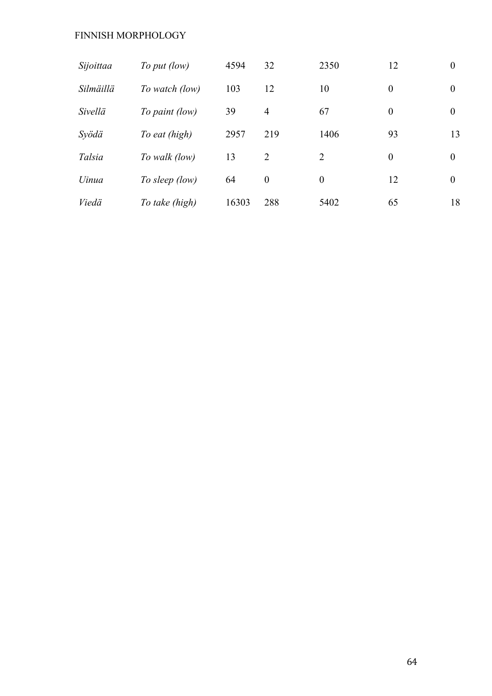| Sijoittaa    | To put (low)   | 4594  | 32             | 2350           | 12       | $\overline{0}$ |
|--------------|----------------|-------|----------------|----------------|----------|----------------|
| Silmäillä    | To watch (low) | 103   | 12             | 10             | $\theta$ | $\theta$       |
| Sivellä      | To paint (low) | 39    | $\overline{4}$ | 67             | $\bf{0}$ | $\overline{0}$ |
| Syödä        | To eat (high)  | 2957  | 219            | 1406           | 93       | 13             |
| Talsia       | To walk (low)  | 13    | 2              | 2              | $\theta$ | $\overline{0}$ |
| <i>Uinua</i> | To sleep (low) | 64    | $\theta$       | $\overline{0}$ | 12       | $\overline{0}$ |
| Viedä        | To take (high) | 16303 | 288            | 5402           | 65       | 18             |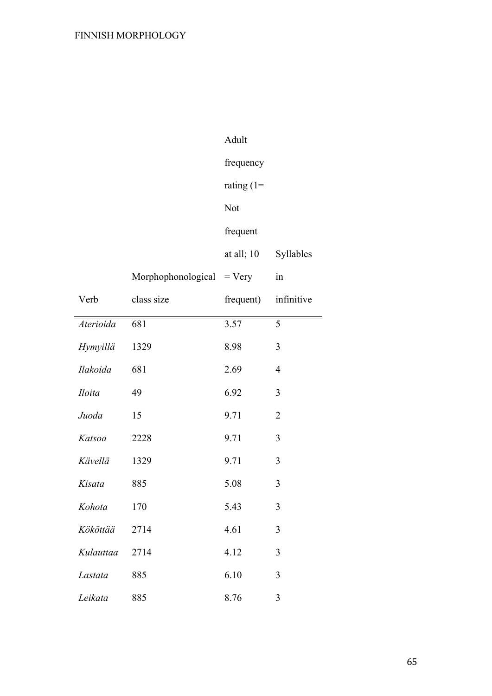|                 |                    | Adult         |                |
|-----------------|--------------------|---------------|----------------|
|                 |                    | frequency     |                |
|                 |                    | rating $(1=$  |                |
|                 |                    | Not           |                |
|                 |                    | frequent      |                |
|                 |                    | at all; 10    | Syllables      |
|                 | Morphophonological | $= \nV (ery)$ | in             |
| Verb            | class size         | frequent)     | infinitive     |
| Aterioida       | 681                | 3.57          | 5              |
| <b>Hymyillä</b> | 1329               | 8.98          | 3              |
| Ilakoida        | 681                | 2.69          | $\overline{4}$ |
| <b>Iloita</b>   | 49                 | 6.92          | 3              |
| Juoda           | 15                 | 9.71          | $\overline{2}$ |
| Katsoa          | 2228               | 9.71          | 3              |
| Kävellä         | 1329               | 9.71          | 3              |
| Kisata          | 885                | 5.08          | 3              |
| Kohota          | 170                | 5.43          | 3              |
| Kököttää        | 2714               | 4.61          | 3              |
| Kulauttaa       | 2714               | 4.12          | 3              |
| Lastata         | 885                | 6.10          | 3              |
| Leikata         | 885                | 8.76          | 3              |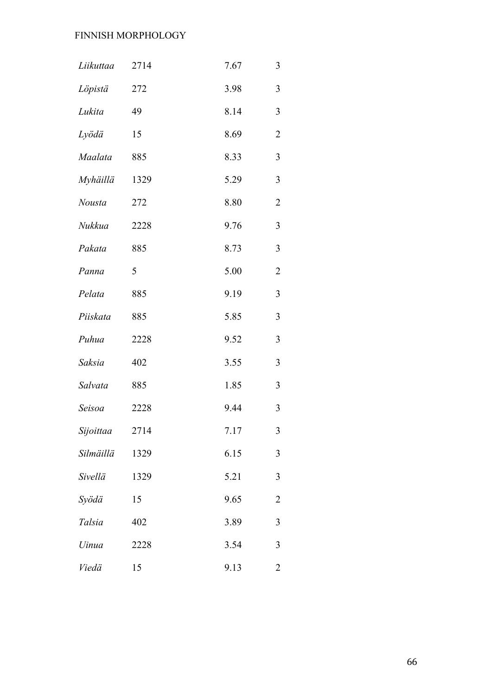| Liikuttaa | 2714 | 7.67 | $\mathfrak{Z}$ |
|-----------|------|------|----------------|
| Löpistä   | 272  | 3.98 | $\overline{3}$ |
| Lukita    | 49   | 8.14 | $\mathfrak{Z}$ |
| Lyödä     | 15   | 8.69 | $\overline{2}$ |
| Maalata   | 885  | 8.33 | $\overline{3}$ |
| Myhäillä  | 1329 | 5.29 | $\overline{3}$ |
| Nousta    | 272  | 8.80 | $\overline{2}$ |
| Nukkua    | 2228 | 9.76 | $\overline{3}$ |
| Pakata    | 885  | 8.73 | $\mathfrak{Z}$ |
| Panna     | 5    | 5.00 | $\overline{2}$ |
| Pelata    | 885  | 9.19 | $\overline{3}$ |
| Piiskata  | 885  | 5.85 | $\mathfrak{Z}$ |
| Puhua     | 2228 | 9.52 | $\mathfrak{Z}$ |
| Saksia    | 402  | 3.55 | $\overline{3}$ |
| Salvata   | 885  | 1.85 | $\mathfrak{Z}$ |
| Seisoa    | 2228 | 9.44 | $\mathfrak{Z}$ |
| Sijoittaa | 2714 | 7.17 | 3              |
| Silmäillä | 1329 | 6.15 | 3              |
| Sivellä   | 1329 | 5.21 | $\overline{3}$ |
| Syödä     | 15   | 9.65 | $\overline{2}$ |
| Talsia    | 402  | 3.89 | $\overline{3}$ |
| Uinua     | 2228 | 3.54 | $\mathfrak{Z}$ |
| Viedä     | 15   | 9.13 | $\overline{2}$ |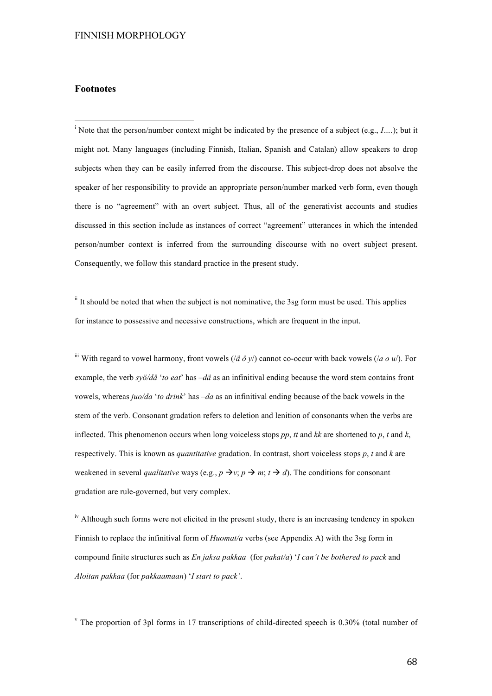#### **Footnotes**

<sup>1</sup> Note that the person/number context might be indicated by the presence of a subject (e.g., *I….*); but it might not. Many languages (including Finnish, Italian, Spanish and Catalan) allow speakers to drop subjects when they can be easily inferred from the discourse. This subject-drop does not absolve the speaker of her responsibility to provide an appropriate person/number marked verb form, even though there is no "agreement" with an overt subject. Thus, all of the generativist accounts and studies discussed in this section include as instances of correct "agreement" utterances in which the intended person/number context is inferred from the surrounding discourse with no overt subject present. Consequently, we follow this standard practice in the present study.

 $\mathbf{u}$  It should be noted that when the subject is not nominative, the 3sg form must be used. This applies for instance to possessive and necessive constructions, which are frequent in the input.

<sup>iii</sup> With regard to vowel harmony, front vowels ( $\overline{a}$   $\overline{v}$ ) cannot co-occur with back vowels ( $\overline{a}$   $\overline{o}$   $\overline{u}$ ). For example, the verb *syö/dä* '*to eat*' has –*dä* as an infinitival ending because the word stem contains front vowels, whereas *juo/da* '*to drink*' has –*da* as an infinitival ending because of the back vowels in the stem of the verb. Consonant gradation refers to deletion and lenition of consonants when the verbs are inflected. This phenomenon occurs when long voiceless stops  $pp$ ,  $tt$  and  $kk$  are shortened to  $p$ ,  $t$  and  $k$ , respectively. This is known as *quantitative* gradation. In contrast, short voiceless stops *p*, *t* and *k* are weakened in several *qualitative* ways (e.g.,  $p \rightarrow v$ ;  $p \rightarrow m$ ;  $t \rightarrow d$ ). The conditions for consonant gradation are rule-governed, but very complex.

<sup>iv</sup> Although such forms were not elicited in the present study, there is an increasing tendency in spoken Finnish to replace the infinitival form of *Huomat/a* verbs (see Appendix A) with the 3sg form in compound finite structures such as *En jaksa pakkaa* (for *pakat/a*) '*I can't be bothered to pack* and *Aloitan pakkaa* (for *pakkaamaan*) '*I start to pack'*.

<sup>v</sup> The proportion of 3pl forms in 17 transcriptions of child-directed speech is 0.30% (total number of